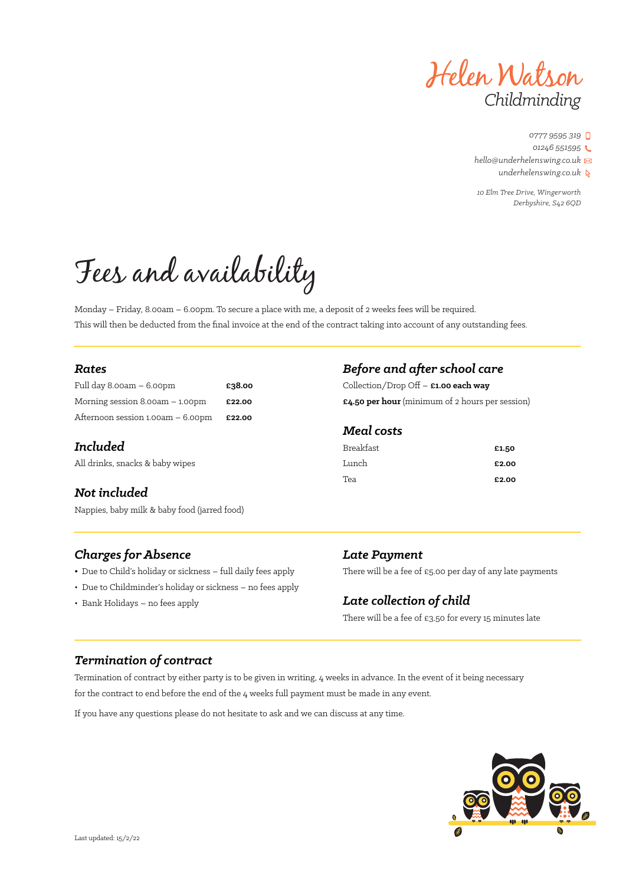

*10 Elm Tree Drive, Wingerworth Derbyshire, S42 6QD*

# Fees and availability

Monday – Friday, 8.00am – 6.00pm. To secure a place with me, a deposit of 2 weeks fees will be required. This will then be deducted from the final invoice at the end of the contract taking into account of any outstanding fees.

### *Rates*

| Full day $8.00am - 6.00pm$        | £38.00 |
|-----------------------------------|--------|
| Morning session $8.00am - 1.00pm$ | £22.00 |
| Afternoon session 1.00am – 6.00pm | £22.00 |

### *Included*

All drinks, snacks & baby wipes

## *Not included*

Nappies, baby milk & baby food (jarred food)

## *Charges for Absence*

- Due to Child's holiday or sickness full daily fees apply
- Due to Childminder's holiday or sickness no fees apply
- Bank Holidays no fees apply

## *Before and after school care*

Collection/Drop Off – **£1.00 each way £4.50 per hour** (minimum of 2 hours per session)

### *Meal costs*

| Breakfast | £1.50 |
|-----------|-------|
| Lunch     | £2.00 |
| Tea       | £2.00 |

## *Late Payment*

There will be a fee of  $£5.00$  per day of any late payments

## *Late collection of child*

There will be a fee of £3.50 for every 15 minutes late

## *Termination of contract*

Termination of contract by either party is to be given in writing, 4 weeks in advance. In the event of it being necessary for the contract to end before the end of the 4 weeks full payment must be made in any event.

If you have any questions please do not hesitate to ask and we can discuss at any time.

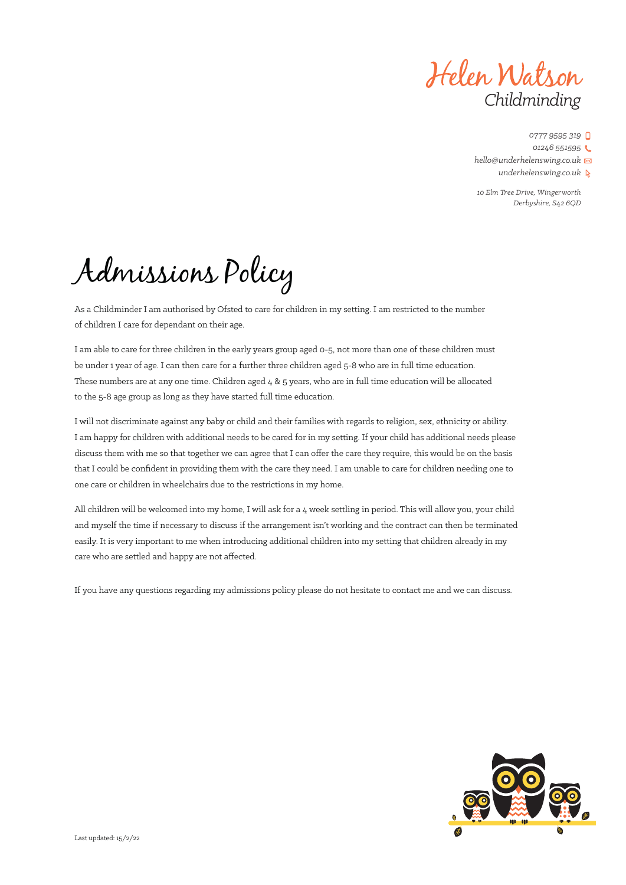Helen Watson *Childminding*

*10 Elm Tree Drive, Wingerworth Derbyshire, S42 6QD*

Admissions Policy

As a Childminder I am authorised by Ofsted to care for children in my setting. I am restricted to the number of children I care for dependant on their age.

I am able to care for three children in the early years group aged 0-5, not more than one of these children must be under 1 year of age. I can then care for a further three children aged 5-8 who are in full time education. These numbers are at any one time. Children aged 4 & 5 years, who are in full time education will be allocated to the 5-8 age group as long as they have started full time education.

I will not discriminate against any baby or child and their families with regards to religion, sex, ethnicity or ability. I am happy for children with additional needs to be cared for in my setting. If your child has additional needs please discuss them with me so that together we can agree that I can offer the care they require, this would be on the basis that I could be confident in providing them with the care they need. I am unable to care for children needing one to one care or children in wheelchairs due to the restrictions in my home.

All children will be welcomed into my home, I will ask for a 4 week settling in period. This will allow you, your child and myself the time if necessary to discuss if the arrangement isn't working and the contract can then be terminated easily. It is very important to me when introducing additional children into my setting that children already in my care who are settled and happy are not affected.

If you have any questions regarding my admissions policy please do not hesitate to contact me and we can discuss.

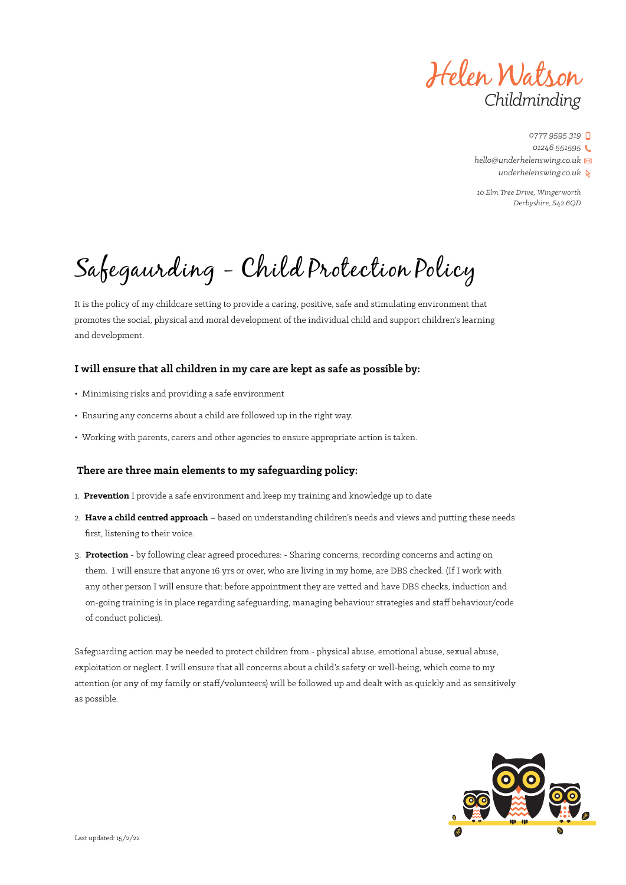Helen Watson *Childminding*

*10 Elm Tree Drive, Wingerworth Derbyshire, S42 6QD*

# Safegaurding - Child Protection Policy

It is the policy of my childcare setting to provide a caring, positive, safe and stimulating environment that promotes the social, physical and moral development of the individual child and support children's learning and development.

### **I will ensure that all children in my care are kept as safe as possible by:**

- Minimising risks and providing a safe environment
- Ensuring any concerns about a child are followed up in the right way.
- Working with parents, carers and other agencies to ensure appropriate action is taken.

### **There are three main elements to my safeguarding policy:**

- 1. **Prevention** I provide a safe environment and keep my training and knowledge up to date
- 2. **Have a child centred approach** based on understanding children's needs and views and putting these needs first, listening to their voice.
- 3. **Protection** by following clear agreed procedures: Sharing concerns, recording concerns and acting on them. I will ensure that anyone 16 yrs or over, who are living in my home, are DBS checked. (If I work with any other person I will ensure that: before appointment they are vetted and have DBS checks, induction and on-going training is in place regarding safeguarding, managing behaviour strategies and staff behaviour/code of conduct policies).

Safeguarding action may be needed to protect children from:- physical abuse, emotional abuse, sexual abuse, exploitation or neglect. I will ensure that all concerns about a child's safety or well-being, which come to my attention (or any of my family or staff/volunteers) will be followed up and dealt with as quickly and as sensitively as possible.

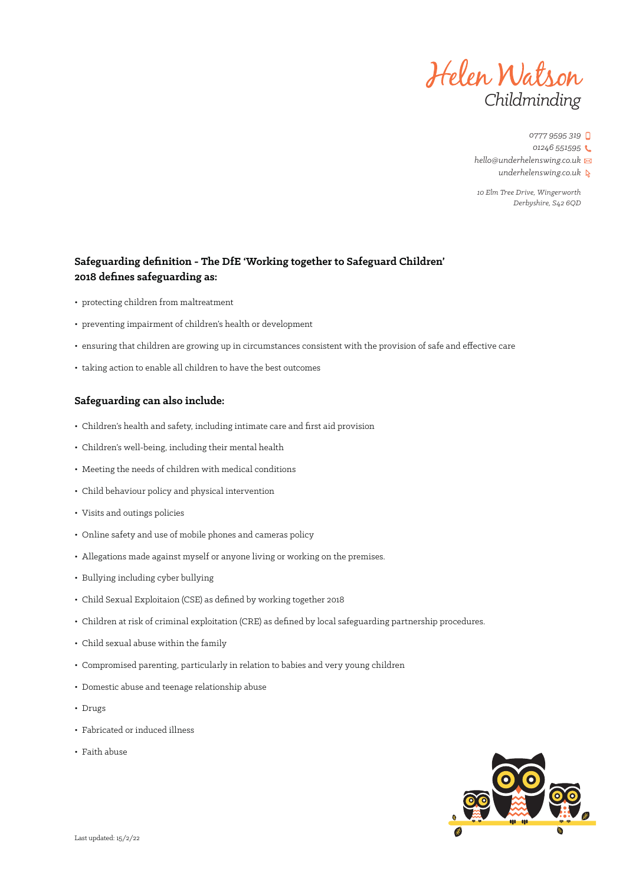

*0777 9595 319 01246 551595 hello@underhelenswing.co.uk*

*underhelenswing.co.uk*

*10 Elm Tree Drive, Wingerworth Derbyshire, S42 6QD*

### **Safeguarding definition - The DfE 'Working together to Safeguard Children' 2018 defines safeguarding as:**

- protecting children from maltreatment
- preventing impairment of children's health or development
- ensuring that children are growing up in circumstances consistent with the provision of safe and effective care
- taking action to enable all children to have the best outcomes

### **Safeguarding can also include:**

- Children's health and safety, including intimate care and first aid provision
- Children's well-being, including their mental health
- Meeting the needs of children with medical conditions
- Child behaviour policy and physical intervention
- Visits and outings policies
- Online safety and use of mobile phones and cameras policy
- Allegations made against myself or anyone living or working on the premises.
- Bullying including cyber bullying
- Child Sexual Exploitaion (CSE) as defined by working together 2018
- Children at risk of criminal exploitation (CRE) as defined by local safeguarding partnership procedures.
- Child sexual abuse within the family
- Compromised parenting, particularly in relation to babies and very young children
- Domestic abuse and teenage relationship abuse
- Drugs
- Fabricated or induced illness
- Faith abuse

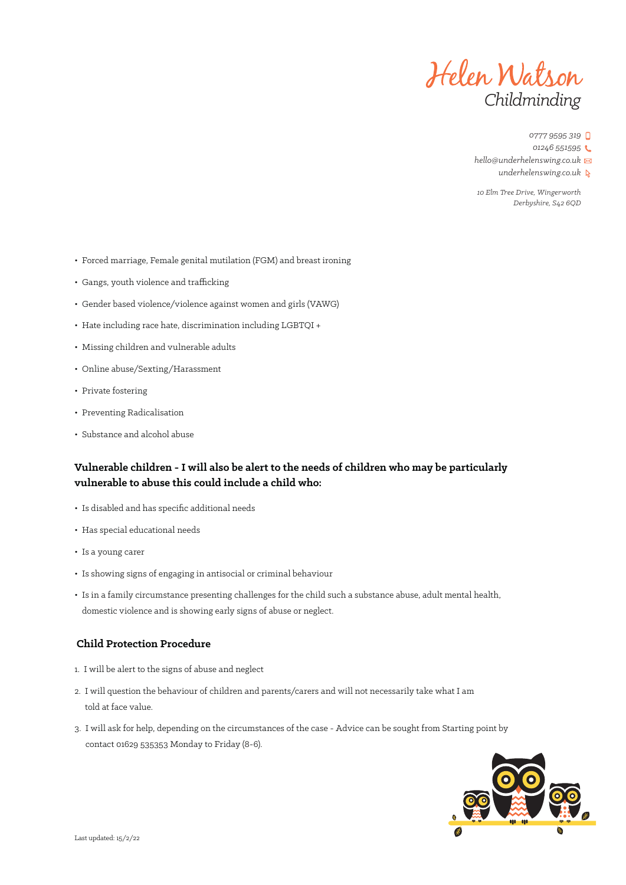

*0777 9595 319*

*01246 551595*

*hello@underhelenswing.co.uk*

*underhelenswing.co.uk*

*10 Elm Tree Drive, Wingerworth Derbyshire, S42 6QD*

- Forced marriage, Female genital mutilation (FGM) and breast ironing
- Gangs, youth violence and trafficking
- Gender based violence/violence against women and girls (VAWG)
- Hate including race hate, discrimination including LGBTQI +
- Missing children and vulnerable adults
- Online abuse/Sexting/Harassment
- Private fostering
- Preventing Radicalisation
- Substance and alcohol abuse

### **Vulnerable children - I will also be alert to the needs of children who may be particularly vulnerable to abuse this could include a child who:**

- Is disabled and has specific additional needs
- Has special educational needs
- Is a young carer
- Is showing signs of engaging in antisocial or criminal behaviour
- Is in a family circumstance presenting challenges for the child such a substance abuse, adult mental health, domestic violence and is showing early signs of abuse or neglect.

### **Child Protection Procedure**

- 1. I will be alert to the signs of abuse and neglect
- 2. I will question the behaviour of children and parents/carers and will not necessarily take what I am told at face value.
- 3. I will ask for help, depending on the circumstances of the case Advice can be sought from Starting point by contact 01629 535353 Monday to Friday (8-6).

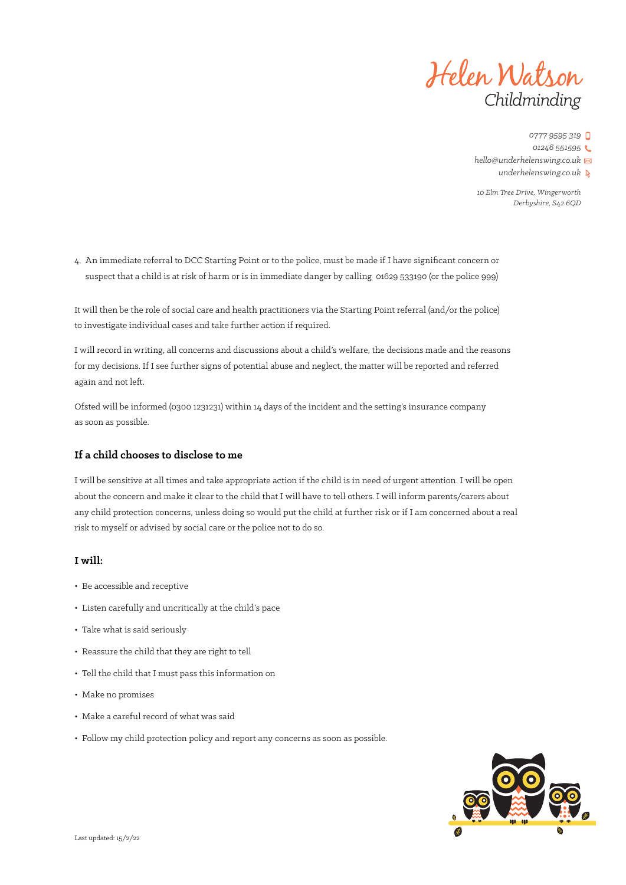

*10 Elm Tree Drive, Wingerworth Derbyshire, S42 6QD*

4. An immediate referral to DCC Starting Point or to the police, must be made if I have significant concern or suspect that a child is at risk of harm or is in immediate danger by calling 01629 533190 (or the police 999)

It will then be the role of social care and health practitioners via the Starting Point referral (and/or the police) to investigate individual cases and take further action if required.

I will record in writing, all concerns and discussions about a child's welfare, the decisions made and the reasons for my decisions. If I see further signs of potential abuse and neglect, the matter will be reported and referred again and not left.

Ofsted will be informed (0300 1231231) within 14 days of the incident and the setting's insurance company as soon as possible.

### **If a child chooses to disclose to me**

I will be sensitive at all times and take appropriate action if the child is in need of urgent attention. I will be open about the concern and make it clear to the child that I will have to tell others. I will inform parents/carers about any child protection concerns, unless doing so would put the child at further risk or if I am concerned about a real risk to myself or advised by social care or the police not to do so.

### **I will:**

- Be accessible and receptive
- Listen carefully and uncritically at the child's pace
- Take what is said seriously
- Reassure the child that they are right to tell
- Tell the child that I must pass this information on
- Make no promises
- Make a careful record of what was said
- Follow my child protection policy and report any concerns as soon as possible.

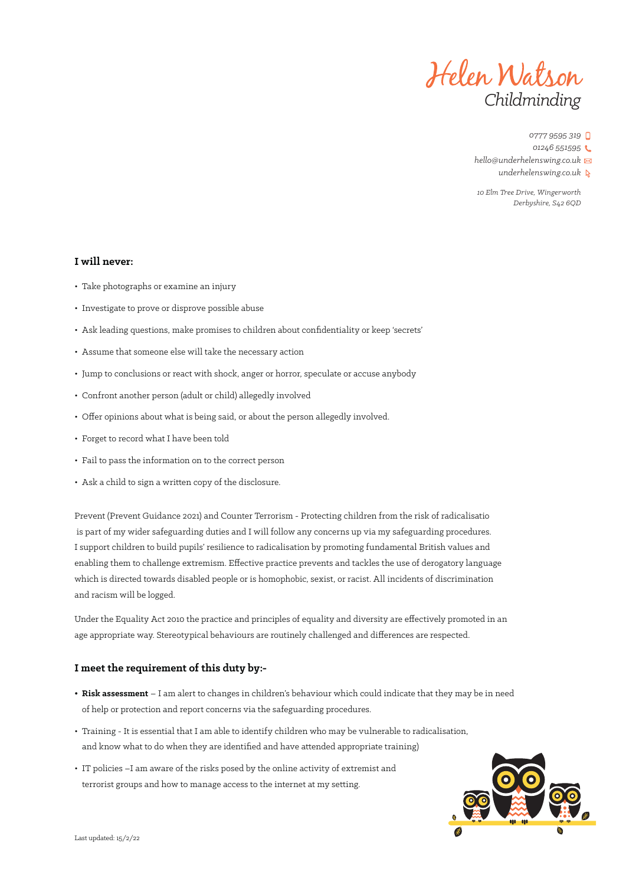

*0777 9595 319*

*01246 551595*

*hello@underhelenswing.co.uk*

*underhelenswing.co.uk*

*10 Elm Tree Drive, Wingerworth Derbyshire, S42 6QD*

### **I will never:**

- Take photographs or examine an injury
- Investigate to prove or disprove possible abuse
- Ask leading questions, make promises to children about confidentiality or keep 'secrets'
- Assume that someone else will take the necessary action
- Jump to conclusions or react with shock, anger or horror, speculate or accuse anybody
- Confront another person (adult or child) allegedly involved
- Offer opinions about what is being said, or about the person allegedly involved.
- Forget to record what I have been told
- Fail to pass the information on to the correct person
- Ask a child to sign a written copy of the disclosure.

Prevent (Prevent Guidance 2021) and Counter Terrorism - Protecting children from the risk of radicalisatio is part of my wider safeguarding duties and I will follow any concerns up via my safeguarding procedures. I support children to build pupils' resilience to radicalisation by promoting fundamental British values and enabling them to challenge extremism. Effective practice prevents and tackles the use of derogatory language which is directed towards disabled people or is homophobic, sexist, or racist. All incidents of discrimination and racism will be logged.

Under the Equality Act 2010 the practice and principles of equality and diversity are effectively promoted in an age appropriate way. Stereotypical behaviours are routinely challenged and differences are respected.

### **I meet the requirement of this duty by:-**

- **Risk assessment** I am alert to changes in children's behaviour which could indicate that they may be in need of help or protection and report concerns via the safeguarding procedures.
- Training It is essential that I am able to identify children who may be vulnerable to radicalisation, and know what to do when they are identified and have attended appropriate training)
- IT policies –I am aware of the risks posed by the online activity of extremist and terrorist groups and how to manage access to the internet at my setting.

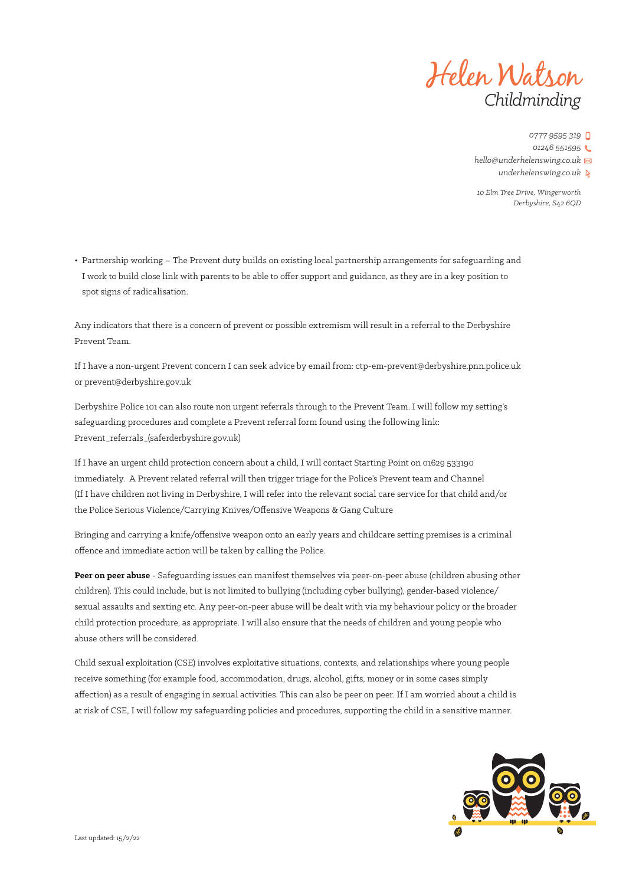

*10 Elm Tree Drive, Wingerworth Derbyshire, S42 6QD*

• Partnership working – The Prevent duty builds on existing local partnership arrangements for safeguarding and I work to build close link with parents to be able to offer support and guidance, as they are in a key position to spot signs of radicalisation.

Any indicators that there is a concern of prevent or possible extremism will result in a referral to the Derbyshire Prevent Team.

If I have a non-urgent Prevent concern I can seek advice by email from: ctp-em-prevent@derbyshire.pnn.police.uk or prevent@derbyshire.gov.uk

Derbyshire Police 101 can also route non urgent referrals through to the Prevent Team. I will follow my setting's safeguarding procedures and complete a Prevent referral form found using the following link: Prevent\_referrals\_(saferderbyshire.gov.uk)

If I have an urgent child protection concern about a child, I will contact Starting Point on 01629 533190 immediately. A Prevent related referral will then trigger triage for the Police's Prevent team and Channel (If I have children not living in Derbyshire, I will refer into the relevant social care service for that child and/or the Police Serious Violence/Carrying Knives/Offensive Weapons & Gang Culture

Bringing and carrying a knife/offensive weapon onto an early years and childcare setting premises is a criminal offence and immediate action will be taken by calling the Police.

**Peer on peer abuse** - Safeguarding issues can manifest themselves via peer-on-peer abuse (children abusing other children). This could include, but is not limited to bullying (including cyber bullying), gender-based violence/ sexual assaults and sexting etc. Any peer-on-peer abuse will be dealt with via my behaviour policy or the broader child protection procedure, as appropriate. I will also ensure that the needs of children and young people who abuse others will be considered.

Child sexual exploitation (CSE) involves exploitative situations, contexts, and relationships where young people receive something (for example food, accommodation, drugs, alcohol, gifts, money or in some cases simply affection) as a result of engaging in sexual activities. This can also be peer on peer. If I am worried about a child is at risk of CSE, I will follow my safeguarding policies and procedures, supporting the child in a sensitive manner.

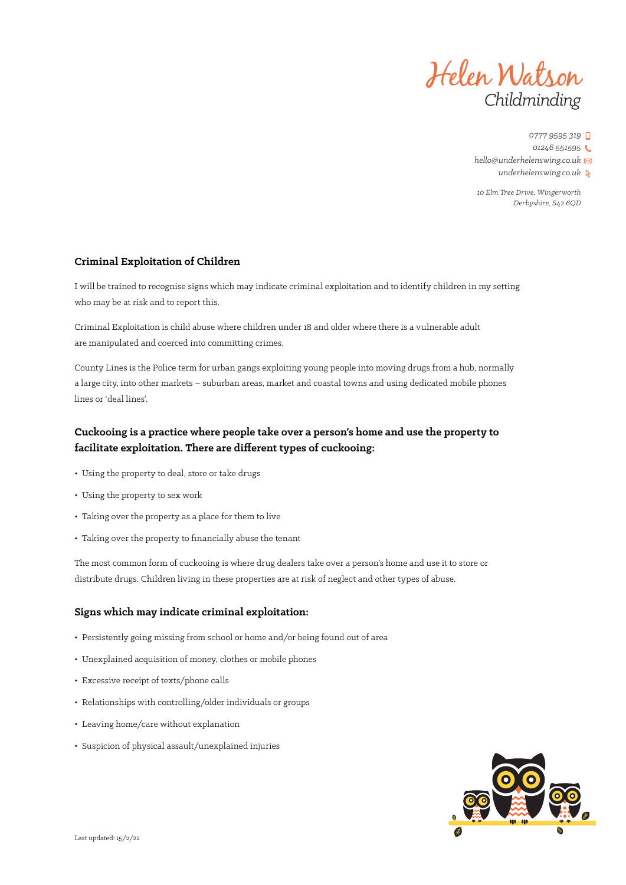

*10 Elm Tree Drive, Wingerworth Derbyshire, S42 6QD*

### **Criminal Exploitation of Children**

I will be trained to recognise signs which may indicate criminal exploitation and to identify children in my setting who may be at risk and to report this.

Criminal Exploitation is child abuse where children under 18 and older where there is a vulnerable adult are manipulated and coerced into committing crimes.

County Lines is the Police term for urban gangs exploiting young people into moving drugs from a hub, normally a large city, into other markets – suburban areas, market and coastal towns and using dedicated mobile phones lines or 'deal lines'.

## **Cuckooing is a practice where people take over a person's home and use the property to facilitate exploitation. There are different types of cuckooing:**

- Using the property to deal, store or take drugs
- Using the property to sex work
- Taking over the property as a place for them to live
- Taking over the property to financially abuse the tenant

The most common form of cuckooing is where drug dealers take over a person's home and use it to store or distribute drugs. Children living in these properties are at risk of neglect and other types of abuse.

### **Signs which may indicate criminal exploitation:**

- Persistently going missing from school or home and/or being found out of area
- Unexplained acquisition of money, clothes or mobile phones
- Excessive receipt of texts/phone calls
- Relationships with controlling/older individuals or groups
- Leaving home/care without explanation
- Suspicion of physical assault/unexplained injuries

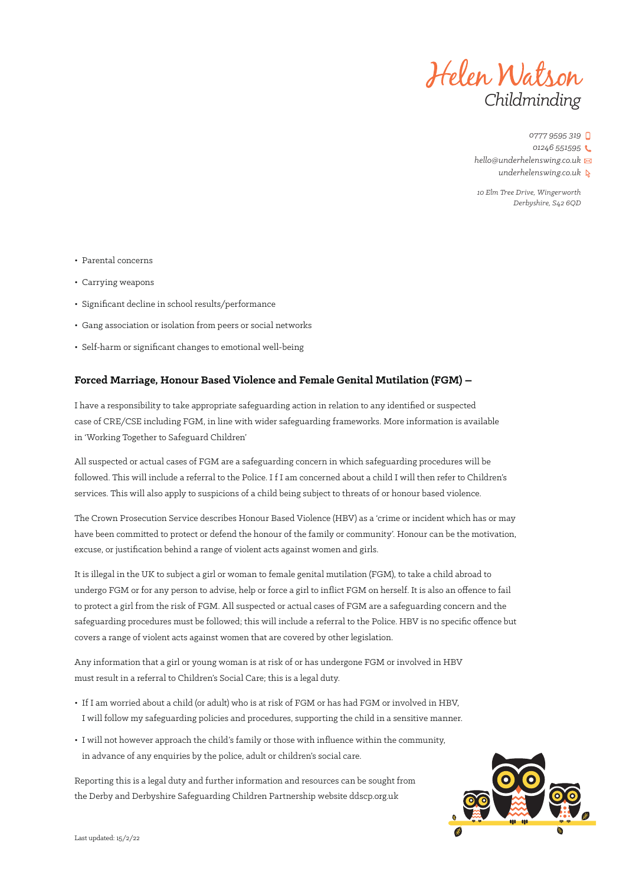

*10 Elm Tree Drive, Wingerworth Derbyshire, S42 6QD*

- Parental concerns
- Carrying weapons
- Significant decline in school results/performance
- Gang association or isolation from peers or social networks
- Self-harm or significant changes to emotional well-being

### **Forced Marriage, Honour Based Violence and Female Genital Mutilation (FGM) –**

I have a responsibility to take appropriate safeguarding action in relation to any identified or suspected case of CRE/CSE including FGM, in line with wider safeguarding frameworks. More information is available in 'Working Together to Safeguard Children'

All suspected or actual cases of FGM are a safeguarding concern in which safeguarding procedures will be followed. This will include a referral to the Police. I f I am concerned about a child I will then refer to Children's services. This will also apply to suspicions of a child being subject to threats of or honour based violence.

The Crown Prosecution Service describes Honour Based Violence (HBV) as a 'crime or incident which has or may have been committed to protect or defend the honour of the family or community'. Honour can be the motivation, excuse, or justification behind a range of violent acts against women and girls.

It is illegal in the UK to subject a girl or woman to female genital mutilation (FGM), to take a child abroad to undergo FGM or for any person to advise, help or force a girl to inflict FGM on herself. It is also an offence to fail to protect a girl from the risk of FGM. All suspected or actual cases of FGM are a safeguarding concern and the safeguarding procedures must be followed; this will include a referral to the Police. HBV is no specific offence but covers a range of violent acts against women that are covered by other legislation.

Any information that a girl or young woman is at risk of or has undergone FGM or involved in HBV must result in a referral to Children's Social Care; this is a legal duty.

- If I am worried about a child (or adult) who is at risk of FGM or has had FGM or involved in HBV, I will follow my safeguarding policies and procedures, supporting the child in a sensitive manner.
- I will not however approach the child's family or those with influence within the community, in advance of any enquiries by the police, adult or children's social care.

Reporting this is a legal duty and further information and resources can be sought from the Derby and Derbyshire Safeguarding Children Partnership website ddscp.org.uk

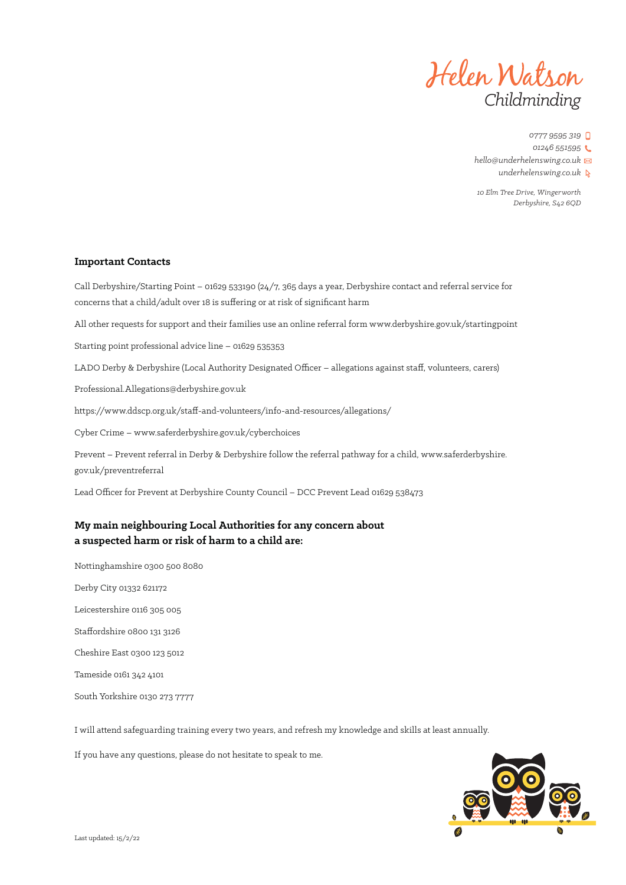

*10 Elm Tree Drive, Wingerworth Derbyshire, S42 6QD*

### **Important Contacts**

Call Derbyshire/Starting Point – 01629 533190 (24/7, 365 days a year, Derbyshire contact and referral service for concerns that a child/adult over 18 is suffering or at risk of significant harm

All other requests for support and their families use an online referral form www.derbyshire.gov.uk/startingpoint

Starting point professional advice line – 01629 535353

LADO Derby & Derbyshire (Local Authority Designated Officer – allegations against staff, volunteers, carers)

Professional.Allegations@derbyshire.gov.uk

https://www.ddscp.org.uk/staff-and-volunteers/info-and-resources/allegations/

Cyber Crime – www.saferderbyshire.gov.uk/cyberchoices

Prevent – Prevent referral in Derby & Derbyshire follow the referral pathway for a child, www.saferderbyshire. gov.uk/preventreferral

Lead Officer for Prevent at Derbyshire County Council – DCC Prevent Lead 01629 538473

### **My main neighbouring Local Authorities for any concern about a suspected harm or risk of harm to a child are:**

Nottinghamshire 0300 500 8080

Derby City 01332 621172

Leicestershire 0116 305 005

Staffordshire 0800 131 3126

Cheshire East 0300 123 5012

Tameside 0161 342 4101

South Yorkshire 0130 273 7777

I will attend safeguarding training every two years, and refresh my knowledge and skills at least annually.

If you have any questions, please do not hesitate to speak to me.

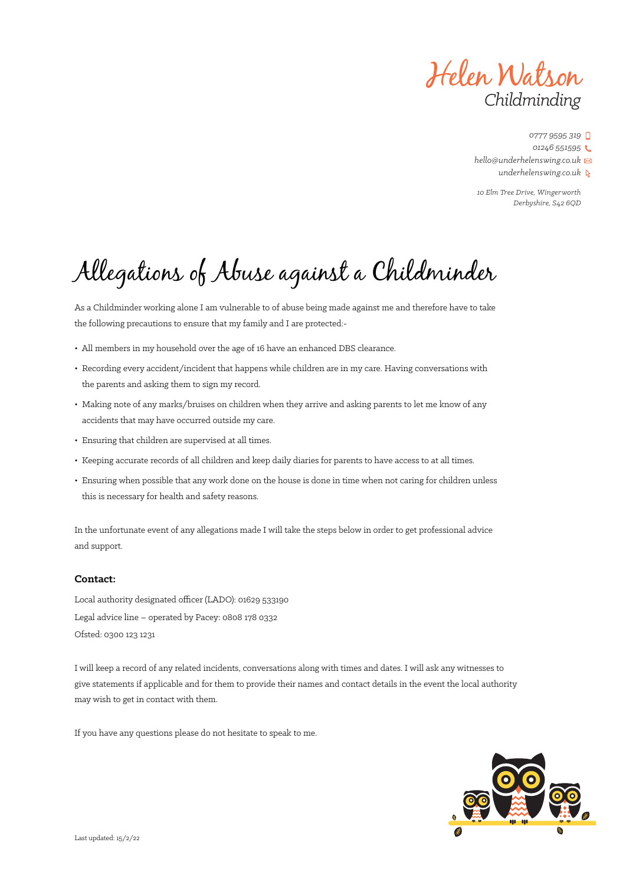Helen Watson *Childminding*

*10 Elm Tree Drive, Wingerworth Derbyshire, S42 6QD*

# Allegations of Abuse against a Childminder

As a Childminder working alone I am vulnerable to of abuse being made against me and therefore have to take the following precautions to ensure that my family and I are protected:-

- All members in my household over the age of 16 have an enhanced DBS clearance.
- Recording every accident/incident that happens while children are in my care. Having conversations with the parents and asking them to sign my record.
- Making note of any marks/bruises on children when they arrive and asking parents to let me know of any accidents that may have occurred outside my care.
- Ensuring that children are supervised at all times.
- Keeping accurate records of all children and keep daily diaries for parents to have access to at all times.
- Ensuring when possible that any work done on the house is done in time when not caring for children unless this is necessary for health and safety reasons.

In the unfortunate event of any allegations made I will take the steps below in order to get professional advice and support.

### **Contact:**

Local authority designated officer (LADO): 01629 533190 Legal advice line – operated by Pacey: 0808 178 0332 Ofsted: 0300 123 1231

I will keep a record of any related incidents, conversations along with times and dates. I will ask any witnesses to give statements if applicable and for them to provide their names and contact details in the event the local authority may wish to get in contact with them.

If you have any questions please do not hesitate to speak to me.

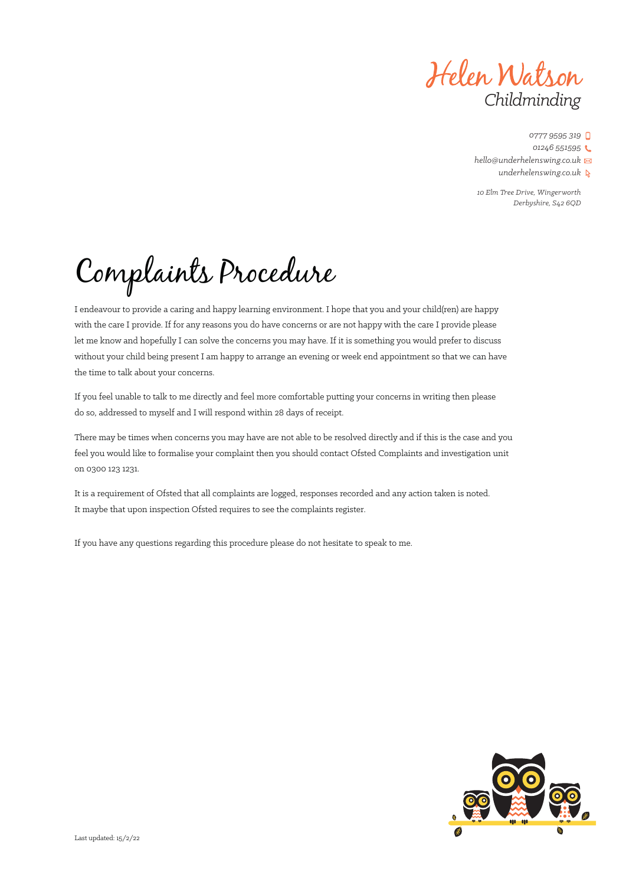Helen Watson *Childminding*

*10 Elm Tree Drive, Wingerworth Derbyshire, S42 6QD*

Complaints Procedure

I endeavour to provide a caring and happy learning environment. I hope that you and your child(ren) are happy with the care I provide. If for any reasons you do have concerns or are not happy with the care I provide please let me know and hopefully I can solve the concerns you may have. If it is something you would prefer to discuss without your child being present I am happy to arrange an evening or week end appointment so that we can have the time to talk about your concerns.

If you feel unable to talk to me directly and feel more comfortable putting your concerns in writing then please do so, addressed to myself and I will respond within 28 days of receipt.

There may be times when concerns you may have are not able to be resolved directly and if this is the case and you feel you would like to formalise your complaint then you should contact Ofsted Complaints and investigation unit on 0300 123 1231.

It is a requirement of Ofsted that all complaints are logged, responses recorded and any action taken is noted. It maybe that upon inspection Ofsted requires to see the complaints register.

If you have any questions regarding this procedure please do not hesitate to speak to me.

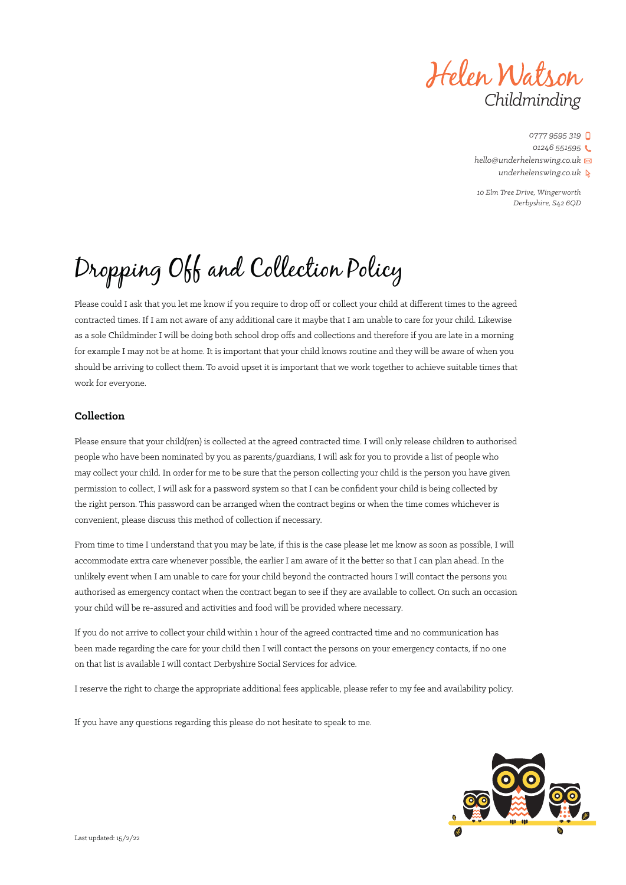Helen Watson *Childminding*

*10 Elm Tree Drive, Wingerworth Derbyshire, S42 6QD*

# Dropping Off and Collection Policy

Please could I ask that you let me know if you require to drop off or collect your child at different times to the agreed contracted times. If I am not aware of any additional care it maybe that I am unable to care for your child. Likewise as a sole Childminder I will be doing both school drop offs and collections and therefore if you are late in a morning for example I may not be at home. It is important that your child knows routine and they will be aware of when you should be arriving to collect them. To avoid upset it is important that we work together to achieve suitable times that work for everyone.

### **Collection**

Please ensure that your child(ren) is collected at the agreed contracted time. I will only release children to authorised people who have been nominated by you as parents/guardians, I will ask for you to provide a list of people who may collect your child. In order for me to be sure that the person collecting your child is the person you have given permission to collect, I will ask for a password system so that I can be confident your child is being collected by the right person. This password can be arranged when the contract begins or when the time comes whichever is convenient, please discuss this method of collection if necessary.

From time to time I understand that you may be late, if this is the case please let me know as soon as possible, I will accommodate extra care whenever possible, the earlier I am aware of it the better so that I can plan ahead. In the unlikely event when I am unable to care for your child beyond the contracted hours I will contact the persons you authorised as emergency contact when the contract began to see if they are available to collect. On such an occasion your child will be re-assured and activities and food will be provided where necessary.

If you do not arrive to collect your child within 1 hour of the agreed contracted time and no communication has been made regarding the care for your child then I will contact the persons on your emergency contacts, if no one on that list is available I will contact Derbyshire Social Services for advice.

I reserve the right to charge the appropriate additional fees applicable, please refer to my fee and availability policy.

If you have any questions regarding this please do not hesitate to speak to me.

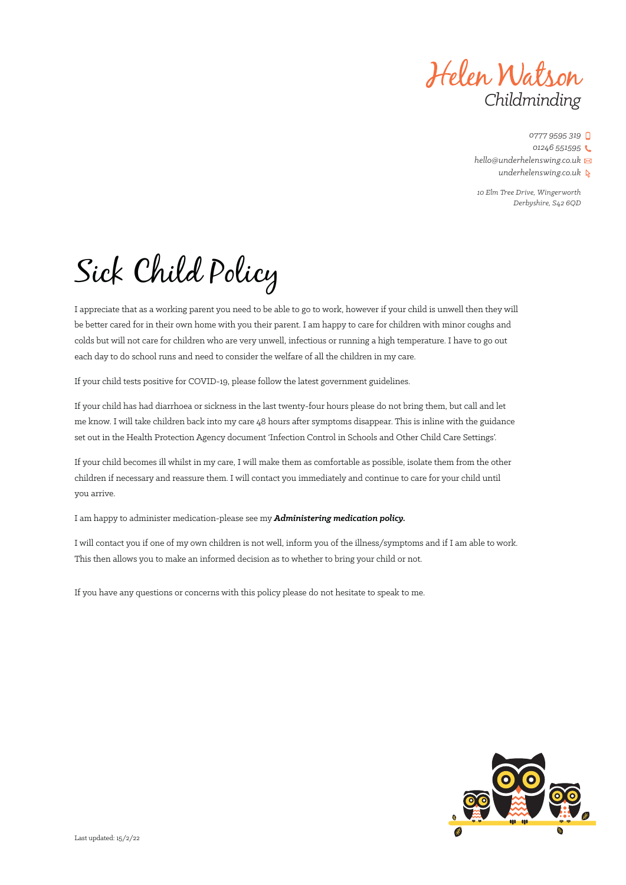Helen Watson *Childminding*

*10 Elm Tree Drive, Wingerworth Derbyshire, S42 6QD*

# Sick Child Policy

I appreciate that as a working parent you need to be able to go to work, however if your child is unwell then they will be better cared for in their own home with you their parent. I am happy to care for children with minor coughs and colds but will not care for children who are very unwell, infectious or running a high temperature. I have to go out each day to do school runs and need to consider the welfare of all the children in my care.

If your child tests positive for COVID-19, please follow the latest government guidelines.

If your child has had diarrhoea or sickness in the last twenty-four hours please do not bring them, but call and let me know. I will take children back into my care 48 hours after symptoms disappear. This is inline with the guidance set out in the Health Protection Agency document 'Infection Control in Schools and Other Child Care Settings'.

If your child becomes ill whilst in my care, I will make them as comfortable as possible, isolate them from the other children if necessary and reassure them. I will contact you immediately and continue to care for your child until you arrive.

I am happy to administer medication-please see my *Administering medication policy.*

I will contact you if one of my own children is not well, inform you of the illness/symptoms and if I am able to work. This then allows you to make an informed decision as to whether to bring your child or not.

If you have any questions or concerns with this policy please do not hesitate to speak to me.

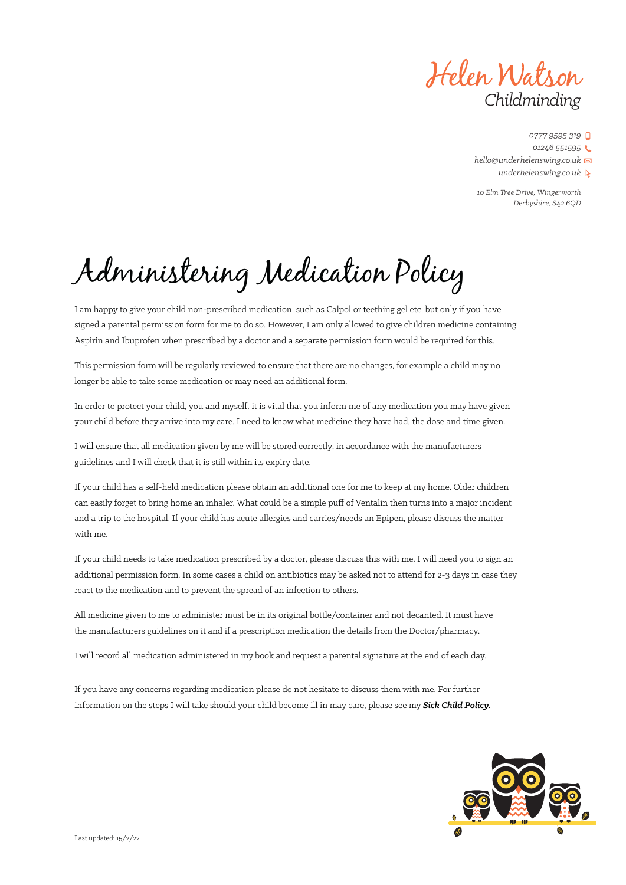Helen Watson *Childminding*

*10 Elm Tree Drive, Wingerworth Derbyshire, S42 6QD*

Administering Medication Policy

I am happy to give your child non-prescribed medication, such as Calpol or teething gel etc, but only if you have signed a parental permission form for me to do so. However, I am only allowed to give children medicine containing Aspirin and Ibuprofen when prescribed by a doctor and a separate permission form would be required for this.

This permission form will be regularly reviewed to ensure that there are no changes, for example a child may no longer be able to take some medication or may need an additional form.

In order to protect your child, you and myself, it is vital that you inform me of any medication you may have given your child before they arrive into my care. I need to know what medicine they have had, the dose and time given.

I will ensure that all medication given by me will be stored correctly, in accordance with the manufacturers guidelines and I will check that it is still within its expiry date.

If your child has a self-held medication please obtain an additional one for me to keep at my home. Older children can easily forget to bring home an inhaler. What could be a simple puff of Ventalin then turns into a major incident and a trip to the hospital. If your child has acute allergies and carries/needs an Epipen, please discuss the matter with me.

If your child needs to take medication prescribed by a doctor, please discuss this with me. I will need you to sign an additional permission form. In some cases a child on antibiotics may be asked not to attend for 2-3 days in case they react to the medication and to prevent the spread of an infection to others.

All medicine given to me to administer must be in its original bottle/container and not decanted. It must have the manufacturers guidelines on it and if a prescription medication the details from the Doctor/pharmacy.

I will record all medication administered in my book and request a parental signature at the end of each day.

If you have any concerns regarding medication please do not hesitate to discuss them with me. For further information on the steps I will take should your child become ill in may care, please see my *Sick Child Policy.*

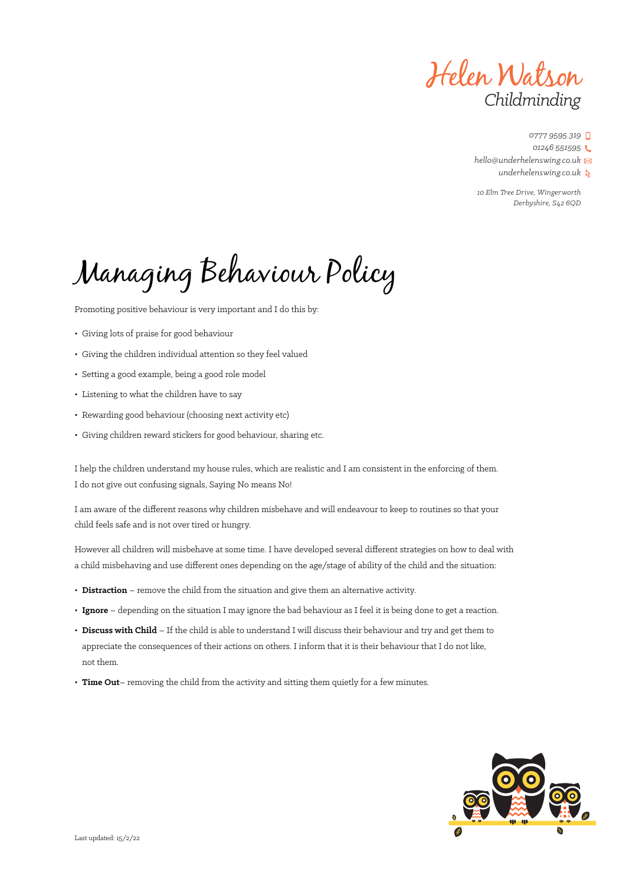Helen Watson *Childminding*

*0777 9595 319*

*01246 551595*

*hello@underhelenswing.co.uk*

*underhelenswing.co.uk*

*10 Elm Tree Drive, Wingerworth Derbyshire, S42 6QD*

# Managing Behaviour Policy

Promoting positive behaviour is very important and I do this by:

- Giving lots of praise for good behaviour
- Giving the children individual attention so they feel valued
- Setting a good example, being a good role model
- Listening to what the children have to say
- Rewarding good behaviour (choosing next activity etc)
- Giving children reward stickers for good behaviour, sharing etc.

I help the children understand my house rules, which are realistic and I am consistent in the enforcing of them. I do not give out confusing signals, Saying No means No!

I am aware of the different reasons why children misbehave and will endeavour to keep to routines so that your child feels safe and is not over tired or hungry.

However all children will misbehave at some time. I have developed several different strategies on how to deal with a child misbehaving and use different ones depending on the age/stage of ability of the child and the situation:

- **Distraction** remove the child from the situation and give them an alternative activity.
- **Ignore** depending on the situation I may ignore the bad behaviour as I feel it is being done to get a reaction.
- **Discuss with Child** If the child is able to understand I will discuss their behaviour and try and get them to appreciate the consequences of their actions on others. I inform that it is their behaviour that I do not like, not them.
- **Time Out** removing the child from the activity and sitting them quietly for a few minutes.

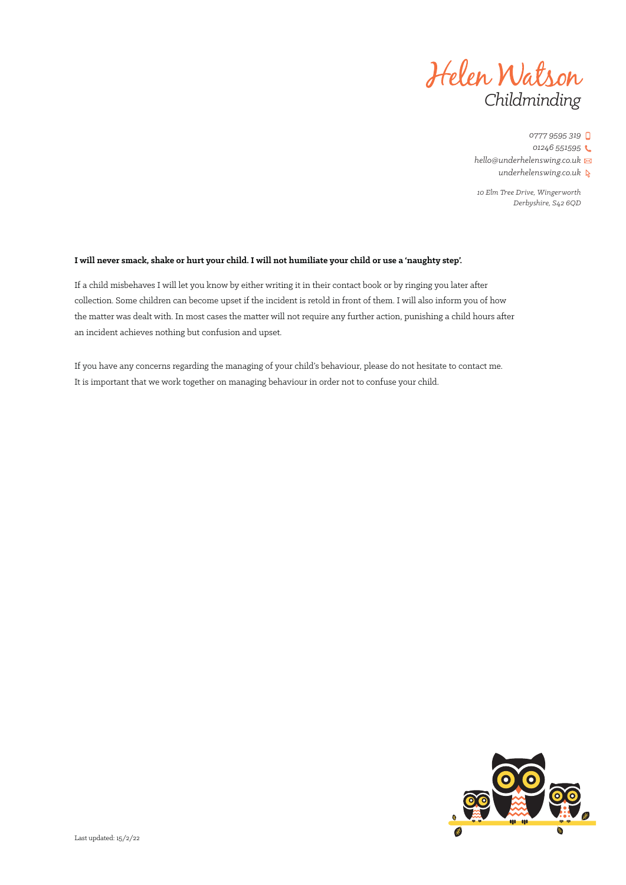

*10 Elm Tree Drive, Wingerworth Derbyshire, S42 6QD*

### **I will never smack, shake or hurt your child. I will not humiliate your child or use a 'naughty step'.**

If a child misbehaves I will let you know by either writing it in their contact book or by ringing you later after collection. Some children can become upset if the incident is retold in front of them. I will also inform you of how the matter was dealt with. In most cases the matter will not require any further action, punishing a child hours after an incident achieves nothing but confusion and upset.

If you have any concerns regarding the managing of your child's behaviour, please do not hesitate to contact me. It is important that we work together on managing behaviour in order not to confuse your child.

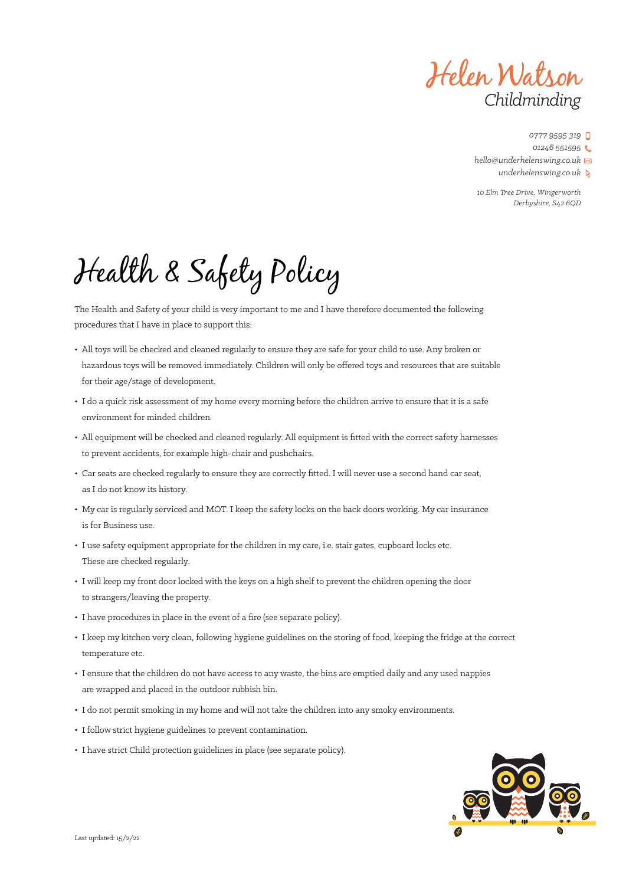Helen Watson *Childminding*

*10 Elm Tree Drive, Wingerworth Derbyshire, S42 6QD*

Health & Safety Policy

The Health and Safety of your child is very important to me and I have therefore documented the following procedures that I have in place to support this:

- All toys will be checked and cleaned regularly to ensure they are safe for your child to use. Any broken or hazardous toys will be removed immediately. Children will only be offered toys and resources that are suitable for their age/stage of development.
- I do a quick risk assessment of my home every morning before the children arrive to ensure that it is a safe environment for minded children.
- All equipment will be checked and cleaned regularly. All equipment is fitted with the correct safety harnesses to prevent accidents, for example high-chair and pushchairs.
- Car seats are checked regularly to ensure they are correctly fitted. I will never use a second hand car seat, as I do not know its history.
- My car is regularly serviced and MOT. I keep the safety locks on the back doors working. My car insurance is for Business use.
- I use safety equipment appropriate for the children in my care, i.e. stair gates, cupboard locks etc. These are checked regularly.
- I will keep my front door locked with the keys on a high shelf to prevent the children opening the door to strangers/leaving the property.
- I have procedures in place in the event of a fire (see separate policy).
- I keep my kitchen very clean, following hygiene guidelines on the storing of food, keeping the fridge at the correct temperature etc.
- I ensure that the children do not have access to any waste, the bins are emptied daily and any used nappies are wrapped and placed in the outdoor rubbish bin.
- I do not permit smoking in my home and will not take the children into any smoky environments.
- I follow strict hygiene guidelines to prevent contamination.
- I have strict Child protection guidelines in place (see separate policy).

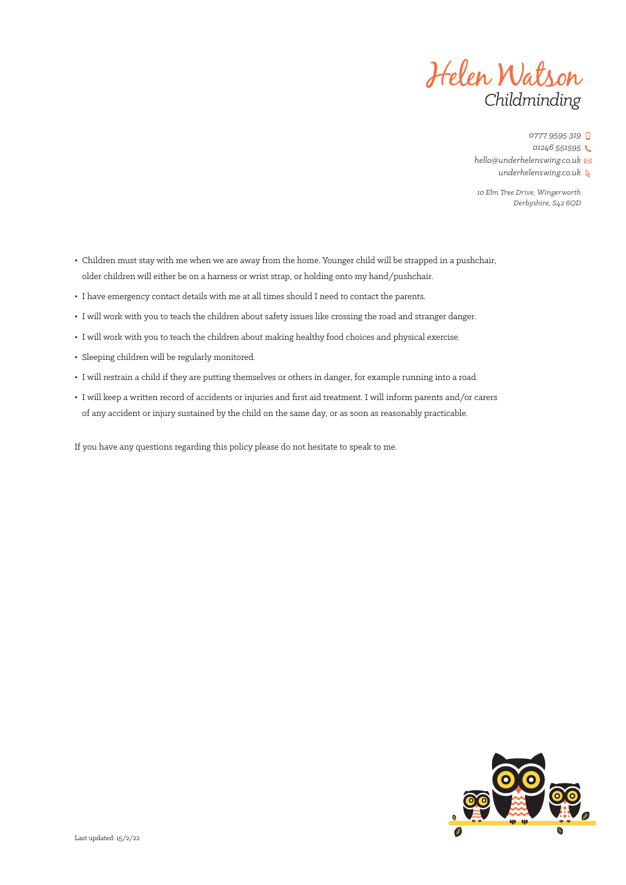

*10 Elm Tree Drive, Wingerworth Derbyshire, S42 6QD*

- Children must stay with me when we are away from the home. Younger child will be strapped in a pushchair, older children will either be on a harness or wrist strap, or holding onto my hand/pushchair.
- I have emergency contact details with me at all times should I need to contact the parents.
- I will work with you to teach the children about safety issues like crossing the road and stranger danger.
- I will work with you to teach the children about making healthy food choices and physical exercise.
- Sleeping children will be regularly monitored.
- I will restrain a child if they are putting themselves or others in danger, for example running into a road.
- I will keep a written record of accidents or injuries and first aid treatment. I will inform parents and/or carers of any accident or injury sustained by the child on the same day, or as soon as reasonably practicable.

If you have any questions regarding this policy please do not hesitate to speak to me.

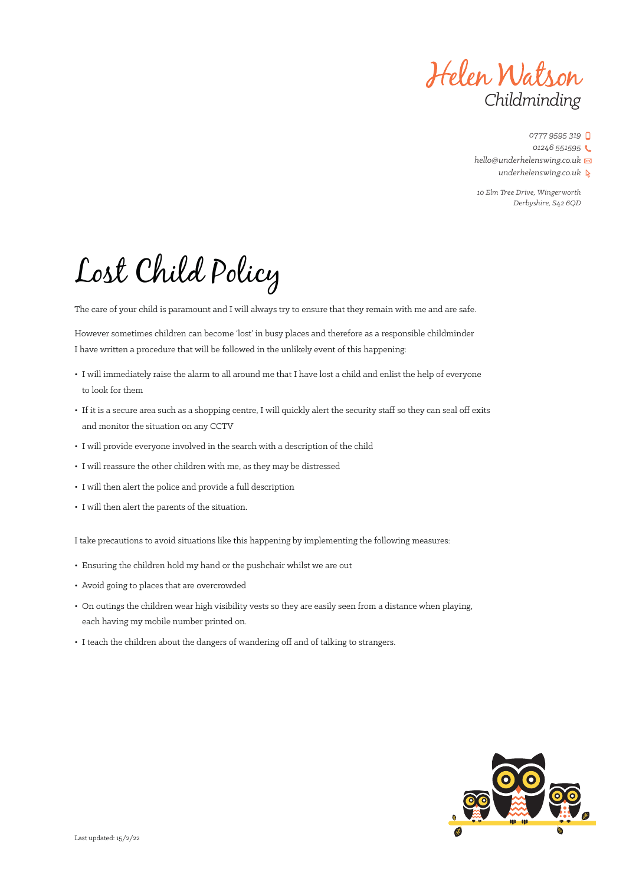Helen Watson *Childminding*

*0777 9595 319 01246 551595 hello@underhelenswing.co.uk*

*underhelenswing.co.uk*

*10 Elm Tree Drive, Wingerworth Derbyshire, S42 6QD*

# Lost Child Policy

The care of your child is paramount and I will always try to ensure that they remain with me and are safe.

However sometimes children can become 'lost' in busy places and therefore as a responsible childminder I have written a procedure that will be followed in the unlikely event of this happening:

- I will immediately raise the alarm to all around me that I have lost a child and enlist the help of everyone to look for them
- If it is a secure area such as a shopping centre, I will quickly alert the security staff so they can seal off exits and monitor the situation on any CCTV
- I will provide everyone involved in the search with a description of the child
- I will reassure the other children with me, as they may be distressed
- I will then alert the police and provide a full description
- I will then alert the parents of the situation.

I take precautions to avoid situations like this happening by implementing the following measures:

- Ensuring the children hold my hand or the pushchair whilst we are out
- Avoid going to places that are overcrowded
- On outings the children wear high visibility vests so they are easily seen from a distance when playing, each having my mobile number printed on.
- I teach the children about the dangers of wandering off and of talking to strangers.

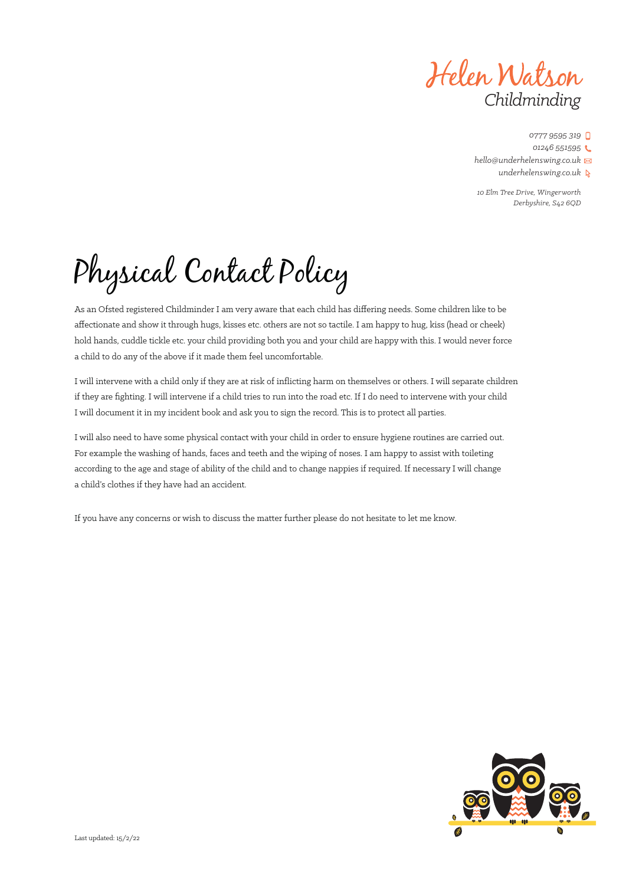Helen Watson *Childminding*

*10 Elm Tree Drive, Wingerworth Derbyshire, S42 6QD*

Physical Contact Policy

As an Ofsted registered Childminder I am very aware that each child has differing needs. Some children like to be affectionate and show it through hugs, kisses etc. others are not so tactile. I am happy to hug, kiss (head or cheek) hold hands, cuddle tickle etc. your child providing both you and your child are happy with this. I would never force a child to do any of the above if it made them feel uncomfortable.

I will intervene with a child only if they are at risk of inflicting harm on themselves or others. I will separate children if they are fighting. I will intervene if a child tries to run into the road etc. If I do need to intervene with your child I will document it in my incident book and ask you to sign the record. This is to protect all parties.

I will also need to have some physical contact with your child in order to ensure hygiene routines are carried out. For example the washing of hands, faces and teeth and the wiping of noses. I am happy to assist with toileting according to the age and stage of ability of the child and to change nappies if required. If necessary I will change a child's clothes if they have had an accident.

If you have any concerns or wish to discuss the matter further please do not hesitate to let me know.

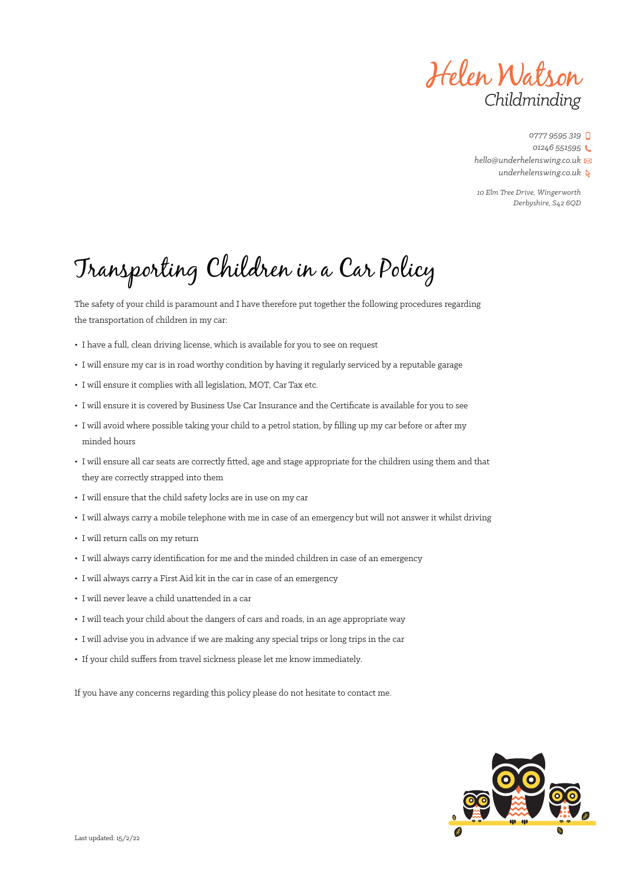Helen Watson *Childminding*

*10 Elm Tree Drive, Wingerworth Derbyshire, S42 6QD*

# Transporting Children in a Car Policy

The safety of your child is paramount and I have therefore put together the following procedures regarding the transportation of children in my car:

- I have a full, clean driving license, which is available for you to see on request
- I will ensure my car is in road worthy condition by having it regularly serviced by a reputable garage
- I will ensure it complies with all legislation, MOT, Car Tax etc.
- I will ensure it is covered by Business Use Car Insurance and the Certificate is available for you to see
- I will avoid where possible taking your child to a petrol station, by filling up my car before or after my minded hours
- I will ensure all car seats are correctly fitted, age and stage appropriate for the children using them and that they are correctly strapped into them
- I will ensure that the child safety locks are in use on my car
- I will always carry a mobile telephone with me in case of an emergency but will not answer it whilst driving
- I will return calls on my return
- I will always carry identification for me and the minded children in case of an emergency
- I will always carry a First Aid kit in the car in case of an emergency
- I will never leave a child unattended in a car
- I will teach your child about the dangers of cars and roads, in an age appropriate way
- I will advise you in advance if we are making any special trips or long trips in the car
- If your child suffers from travel sickness please let me know immediately.

If you have any concerns regarding this policy please do not hesitate to contact me.

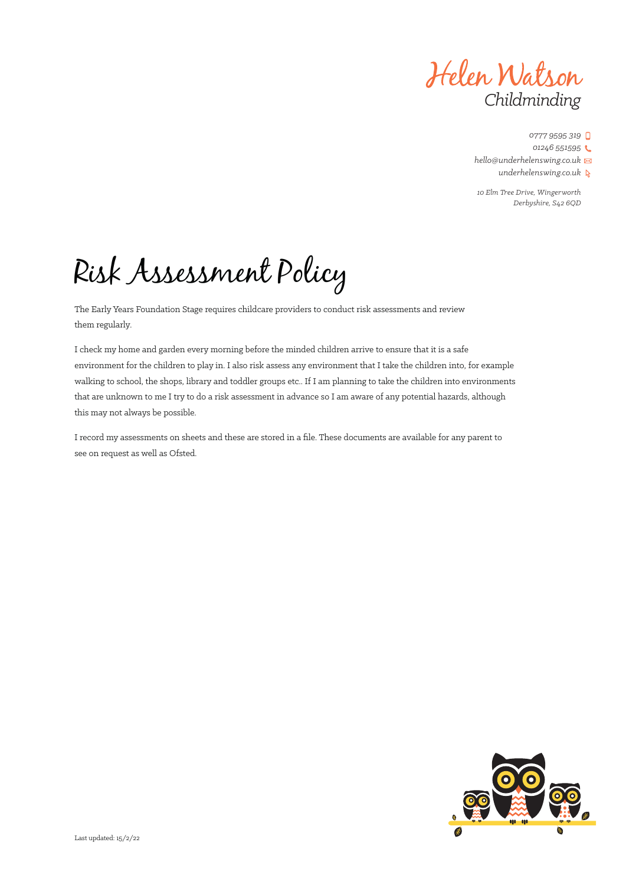Helen Watson *Childminding*

*10 Elm Tree Drive, Wingerworth Derbyshire, S42 6QD*

# Risk Assessment Policy

The Early Years Foundation Stage requires childcare providers to conduct risk assessments and review them regularly.

I check my home and garden every morning before the minded children arrive to ensure that it is a safe environment for the children to play in. I also risk assess any environment that I take the children into, for example walking to school, the shops, library and toddler groups etc.. If I am planning to take the children into environments that are unknown to me I try to do a risk assessment in advance so I am aware of any potential hazards, although this may not always be possible.

I record my assessments on sheets and these are stored in a file. These documents are available for any parent to see on request as well as Ofsted.

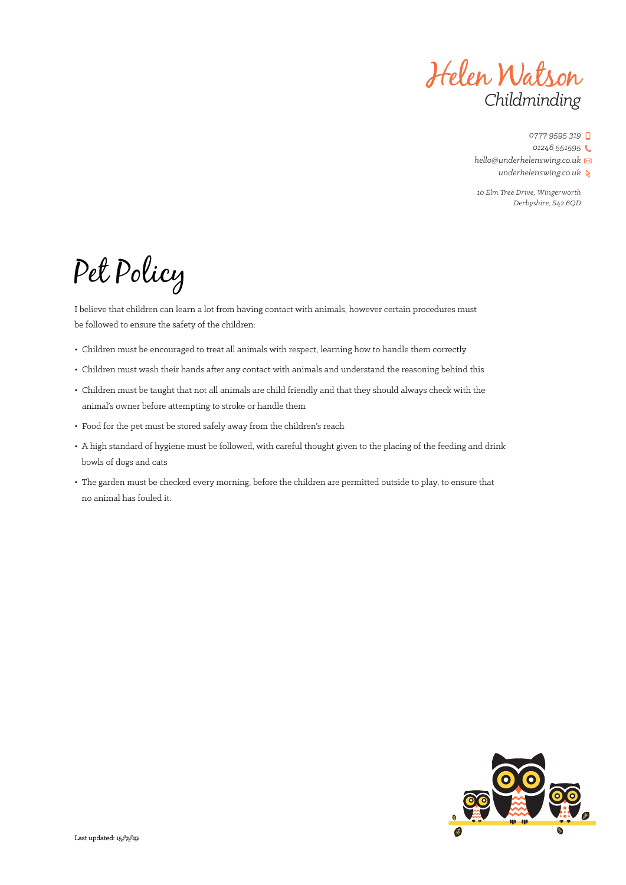

*0777 9595 319 01246 551595 hello@underhelenswing.co.uk*

*underhelenswing.co.uk*

*10 Elm Tree Drive, Wingerworth Derbyshire, S42 6QD*

# Pet Policy

I believe that children can learn a lot from having contact with animals, however certain procedures must be followed to ensure the safety of the children:

- Children must be encouraged to treat all animals with respect, learning how to handle them correctly
- Children must wash their hands after any contact with animals and understand the reasoning behind this
- Children must be taught that not all animals are child friendly and that they should always check with the animal's owner before attempting to stroke or handle them
- Food for the pet must be stored safely away from the children's reach
- A high standard of hygiene must be followed, with careful thought given to the placing of the feeding and drink bowls of dogs and cats
- The garden must be checked every morning, before the children are permitted outside to play, to ensure that no animal has fouled it.

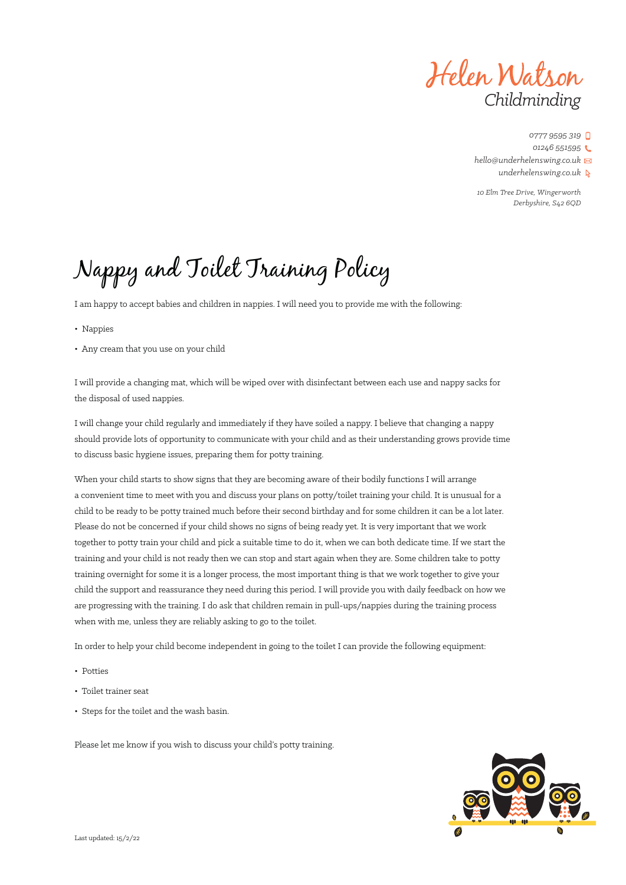Helen Watson *Childminding*

*10 Elm Tree Drive, Wingerworth Derbyshire, S42 6QD*

# Nappy and Toilet Training Policy

I am happy to accept babies and children in nappies. I will need you to provide me with the following:

- Nappies
- Any cream that you use on your child

I will provide a changing mat, which will be wiped over with disinfectant between each use and nappy sacks for the disposal of used nappies.

I will change your child regularly and immediately if they have soiled a nappy. I believe that changing a nappy should provide lots of opportunity to communicate with your child and as their understanding grows provide time to discuss basic hygiene issues, preparing them for potty training.

When your child starts to show signs that they are becoming aware of their bodily functions I will arrange a convenient time to meet with you and discuss your plans on potty/toilet training your child. It is unusual for a child to be ready to be potty trained much before their second birthday and for some children it can be a lot later. Please do not be concerned if your child shows no signs of being ready yet. It is very important that we work together to potty train your child and pick a suitable time to do it, when we can both dedicate time. If we start the training and your child is not ready then we can stop and start again when they are. Some children take to potty training overnight for some it is a longer process, the most important thing is that we work together to give your child the support and reassurance they need during this period. I will provide you with daily feedback on how we are progressing with the training. I do ask that children remain in pull-ups/nappies during the training process when with me, unless they are reliably asking to go to the toilet.

In order to help your child become independent in going to the toilet I can provide the following equipment:

- Potties
- Toilet trainer seat
- Steps for the toilet and the wash basin.

Please let me know if you wish to discuss your child's potty training.

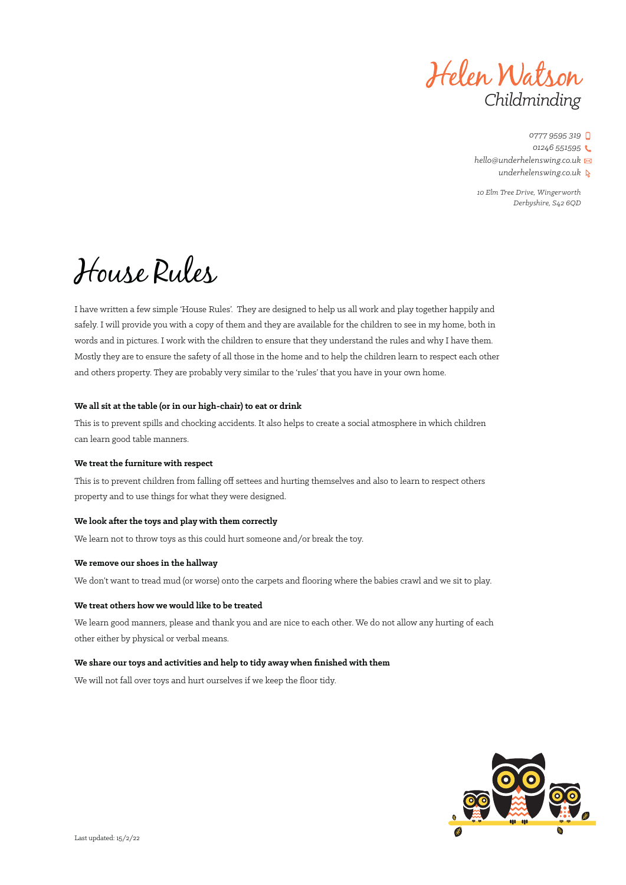Helen Watson *Childminding*

*10 Elm Tree Drive, Wingerworth Derbyshire, S42 6QD*

# House Rules

I have written a few simple 'House Rules'. They are designed to help us all work and play together happily and safely. I will provide you with a copy of them and they are available for the children to see in my home, both in words and in pictures. I work with the children to ensure that they understand the rules and why I have them. Mostly they are to ensure the safety of all those in the home and to help the children learn to respect each other and others property. They are probably very similar to the 'rules' that you have in your own home.

### **We all sit at the table (or in our high-chair) to eat or drink**

This is to prevent spills and chocking accidents. It also helps to create a social atmosphere in which children can learn good table manners.

### **We treat the furniture with respect**

This is to prevent children from falling off settees and hurting themselves and also to learn to respect others property and to use things for what they were designed.

### **We look after the toys and play with them correctly**

We learn not to throw toys as this could hurt someone and/or break the toy.

### **We remove our shoes in the hallway**

We don't want to tread mud (or worse) onto the carpets and flooring where the babies crawl and we sit to play.

### **We treat others how we would like to be treated**

We learn good manners, please and thank you and are nice to each other. We do not allow any hurting of each other either by physical or verbal means.

### **We share our toys and activities and help to tidy away when finished with them**

We will not fall over toys and hurt ourselves if we keep the floor tidy.

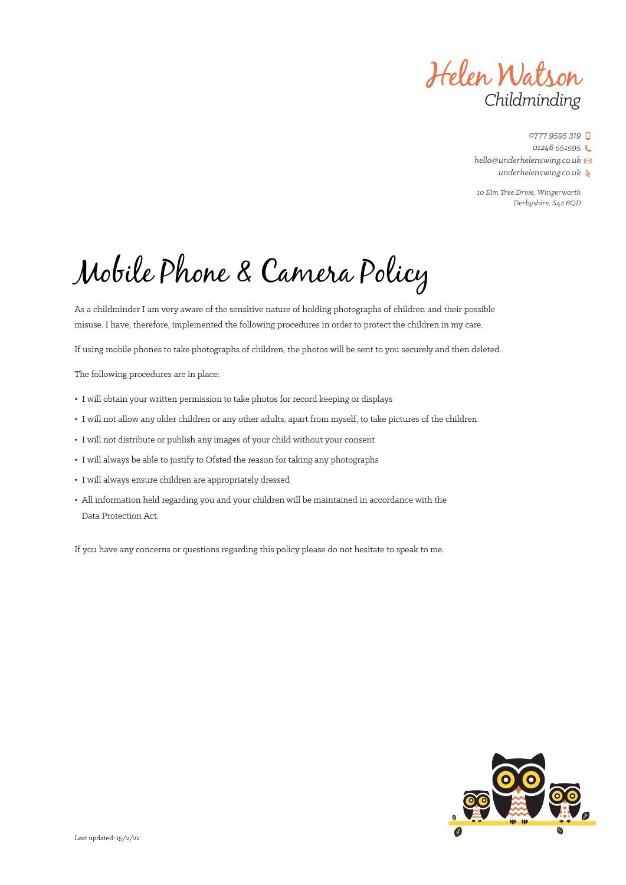Helen Watson *Childminding*

*10 Elm Tree Drive, Wingerworth Derbyshire, S42 6QD*

Mobile Phone & Camera Policy

As a childminder I am very aware of the sensitive nature of holding photographs of children and their possible misuse. I have, therefore, implemented the following procedures in order to protect the children in my care.

If using mobile phones to take photographs of children, the photos will be sent to you securely and then deleted.

The following procedures are in place:

- I will obtain your written permission to take photos for record keeping or displays
- I will not allow any older children or any other adults, apart from myself, to take pictures of the children
- I will not distribute or publish any images of your child without your consent
- I will always be able to justify to Ofsted the reason for taking any photographs
- I will always ensure children are appropriately dressed
- All information held regarding you and your children will be maintained in accordance with the Data Protection Act.

If you have any concerns or questions regarding this policy please do not hesitate to speak to me.

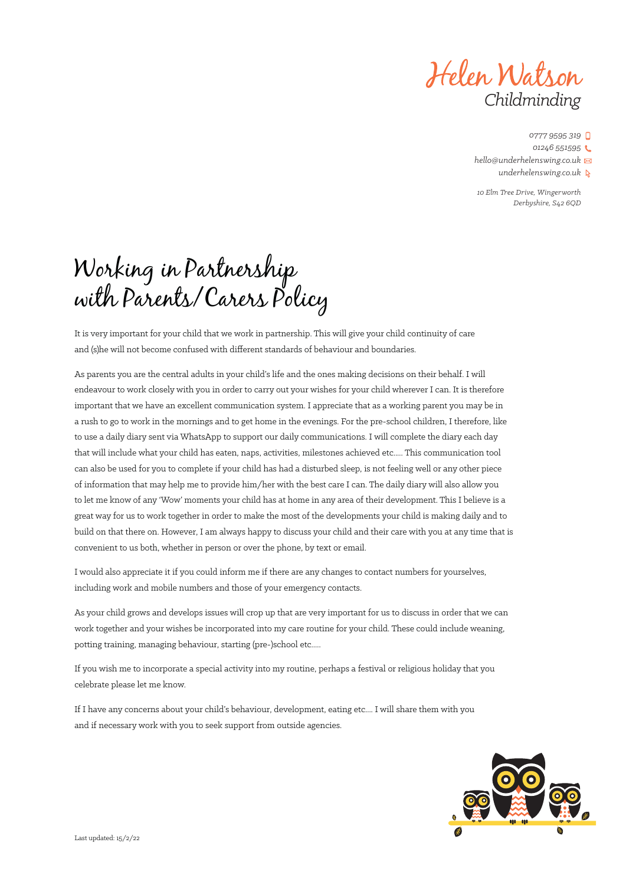Helen Watson *Childminding*

*10 Elm Tree Drive, Wingerworth Derbyshire, S42 6QD*

# Working in Partnership with Parents/Carers Policy

It is very important for your child that we work in partnership. This will give your child continuity of care and (s)he will not become confused with different standards of behaviour and boundaries.

As parents you are the central adults in your child's life and the ones making decisions on their behalf. I will endeavour to work closely with you in order to carry out your wishes for your child wherever I can. It is therefore important that we have an excellent communication system. I appreciate that as a working parent you may be in a rush to go to work in the mornings and to get home in the evenings. For the pre-school children, I therefore, like to use a daily diary sent via WhatsApp to support our daily communications. I will complete the diary each day that will include what your child has eaten, naps, activities, milestones achieved etc..... This communication tool can also be used for you to complete if your child has had a disturbed sleep, is not feeling well or any other piece of information that may help me to provide him/her with the best care I can. The daily diary will also allow you to let me know of any 'Wow' moments your child has at home in any area of their development. This I believe is a great way for us to work together in order to make the most of the developments your child is making daily and to build on that there on. However, I am always happy to discuss your child and their care with you at any time that is convenient to us both, whether in person or over the phone, by text or email.

I would also appreciate it if you could inform me if there are any changes to contact numbers for yourselves, including work and mobile numbers and those of your emergency contacts.

As your child grows and develops issues will crop up that are very important for us to discuss in order that we can work together and your wishes be incorporated into my care routine for your child. These could include weaning, potting training, managing behaviour, starting (pre-)school etc.....

If you wish me to incorporate a special activity into my routine, perhaps a festival or religious holiday that you celebrate please let me know.

If I have any concerns about your child's behaviour, development, eating etc.... I will share them with you and if necessary work with you to seek support from outside agencies.

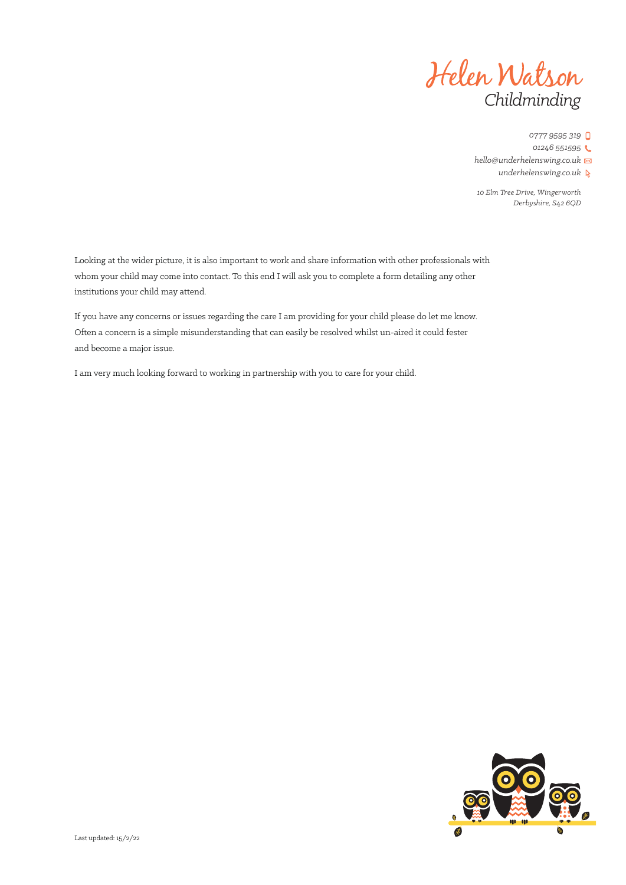

*10 Elm Tree Drive, Wingerworth Derbyshire, S42 6QD*

Looking at the wider picture, it is also important to work and share information with other professionals with whom your child may come into contact. To this end I will ask you to complete a form detailing any other institutions your child may attend.

If you have any concerns or issues regarding the care I am providing for your child please do let me know. Often a concern is a simple misunderstanding that can easily be resolved whilst un-aired it could fester and become a major issue.

I am very much looking forward to working in partnership with you to care for your child.

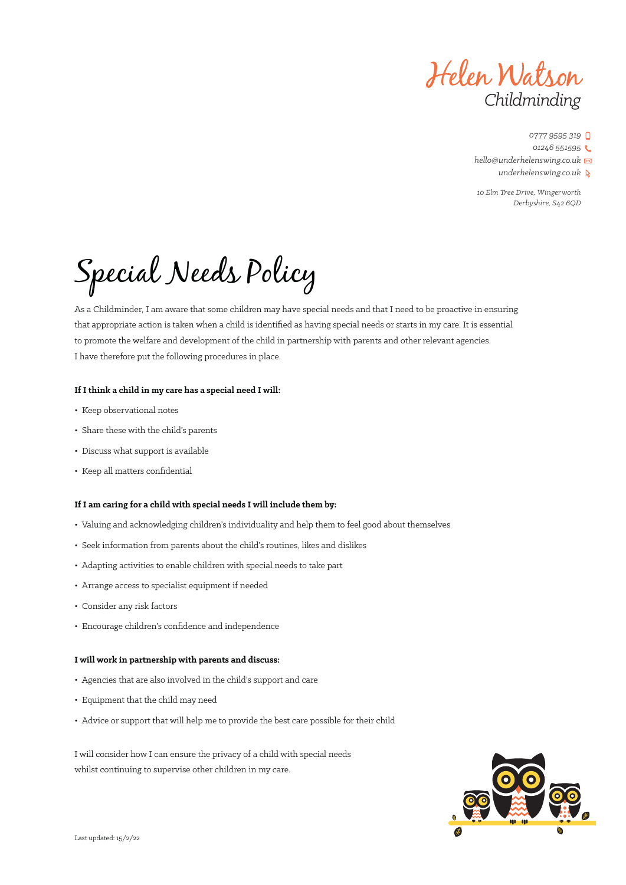Helen Watson *Childminding*

*10 Elm Tree Drive, Wingerworth Derbyshire, S42 6QD*

Special Needs Policy

As a Childminder, I am aware that some children may have special needs and that I need to be proactive in ensuring that appropriate action is taken when a child is identified as having special needs or starts in my care. It is essential to promote the welfare and development of the child in partnership with parents and other relevant agencies. I have therefore put the following procedures in place.

#### **If I think a child in my care has a special need I will:**

- Keep observational notes
- Share these with the child's parents
- Discuss what support is available
- Keep all matters confidential

### **If I am caring for a child with special needs I will include them by:**

- Valuing and acknowledging children's individuality and help them to feel good about themselves
- Seek information from parents about the child's routines, likes and dislikes
- Adapting activities to enable children with special needs to take part
- Arrange access to specialist equipment if needed
- Consider any risk factors
- Encourage children's confidence and independence

### **I will work in partnership with parents and discuss:**

- Agencies that are also involved in the child's support and care
- Equipment that the child may need
- Advice or support that will help me to provide the best care possible for their child

I will consider how I can ensure the privacy of a child with special needs whilst continuing to supervise other children in my care.

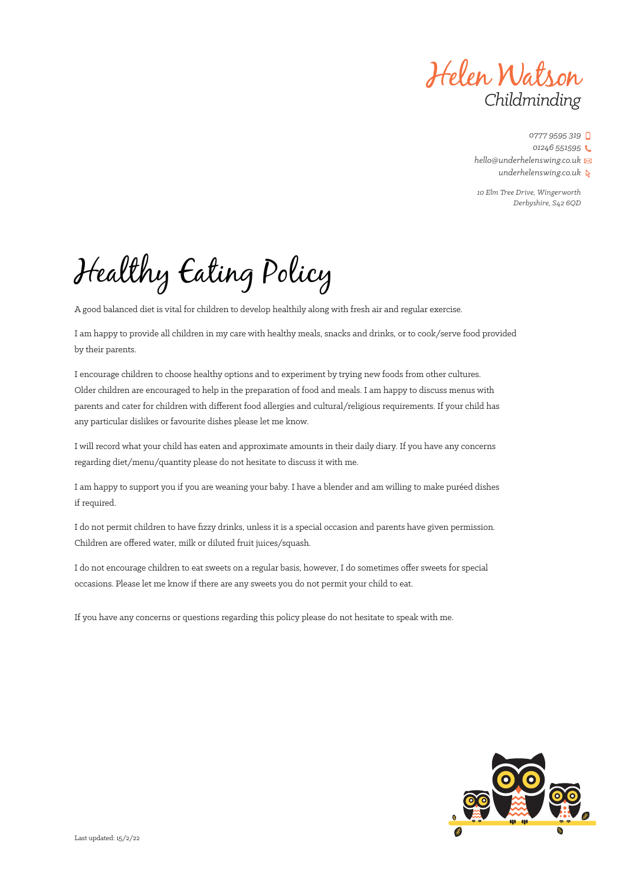Helen Watson *Childminding*

*10 Elm Tree Drive, Wingerworth Derbyshire, S42 6QD*

Healthy Eating Policy

A good balanced diet is vital for children to develop healthily along with fresh air and regular exercise.

I am happy to provide all children in my care with healthy meals, snacks and drinks, or to cook/serve food provided by their parents.

I encourage children to choose healthy options and to experiment by trying new foods from other cultures. Older children are encouraged to help in the preparation of food and meals. I am happy to discuss menus with parents and cater for children with different food allergies and cultural/religious requirements. If your child has any particular dislikes or favourite dishes please let me know.

I will record what your child has eaten and approximate amounts in their daily diary. If you have any concerns regarding diet/menu/quantity please do not hesitate to discuss it with me.

I am happy to support you if you are weaning your baby. I have a blender and am willing to make puréed dishes if required.

I do not permit children to have fizzy drinks, unless it is a special occasion and parents have given permission. Children are offered water, milk or diluted fruit juices/squash.

I do not encourage children to eat sweets on a regular basis, however, I do sometimes offer sweets for special occasions. Please let me know if there are any sweets you do not permit your child to eat.

If you have any concerns or questions regarding this policy please do not hesitate to speak with me.

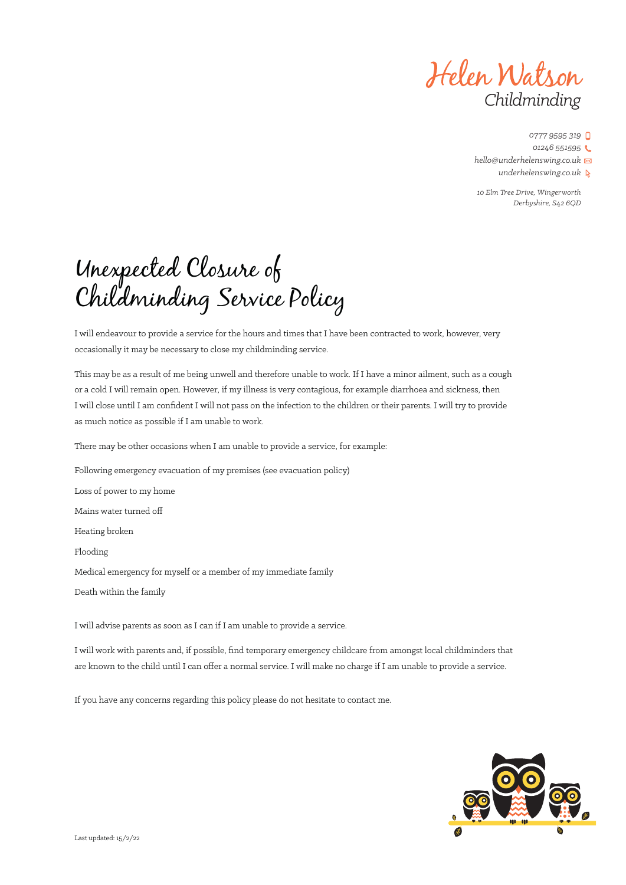Helen Watson *Childminding*

*10 Elm Tree Drive, Wingerworth Derbyshire, S42 6QD*

# Unexpected Closure of Childminding Service Policy

I will endeavour to provide a service for the hours and times that I have been contracted to work, however, very occasionally it may be necessary to close my childminding service.

This may be as a result of me being unwell and therefore unable to work. If I have a minor ailment, such as a cough or a cold I will remain open. However, if my illness is very contagious, for example diarrhoea and sickness, then I will close until I am confident I will not pass on the infection to the children or their parents. I will try to provide as much notice as possible if I am unable to work.

There may be other occasions when I am unable to provide a service, for example:

Following emergency evacuation of my premises (see evacuation policy)

Loss of power to my home

Mains water turned off

Heating broken

Flooding

Medical emergency for myself or a member of my immediate family

Death within the family

I will advise parents as soon as I can if I am unable to provide a service.

I will work with parents and, if possible, find temporary emergency childcare from amongst local childminders that are known to the child until I can offer a normal service. I will make no charge if I am unable to provide a service.

If you have any concerns regarding this policy please do not hesitate to contact me.

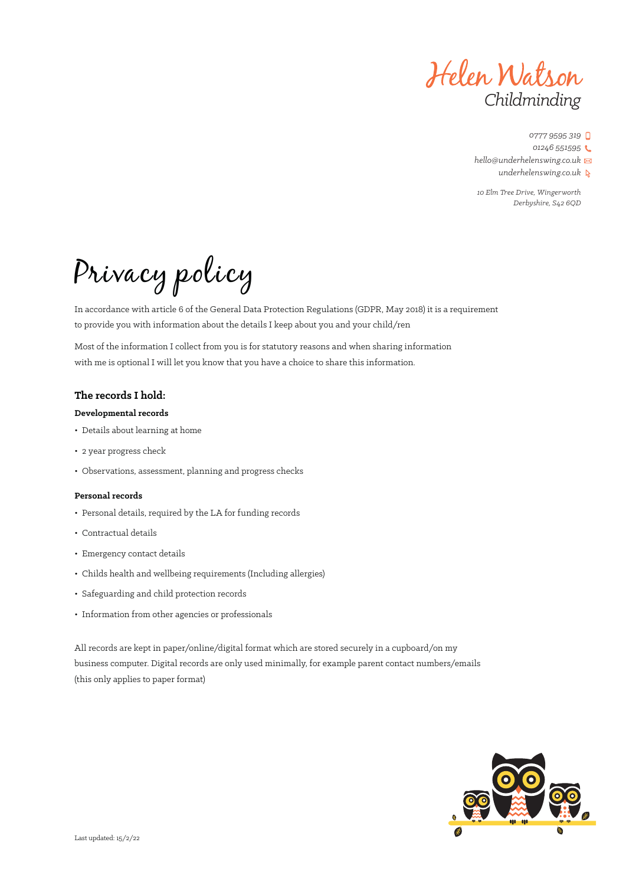Helen Watson *Childminding*

*0777 9595 319 01246 551595*

*hello@underhelenswing.co.uk*

*underhelenswing.co.uk*

*10 Elm Tree Drive, Wingerworth Derbyshire, S42 6QD*

Privacy policy

In accordance with article 6 of the General Data Protection Regulations (GDPR, May 2018) it is a requirement to provide you with information about the details I keep about you and your child/ren

Most of the information I collect from you is for statutory reasons and when sharing information with me is optional I will let you know that you have a choice to share this information.

### **The records I hold:**

### **Developmental records**

- Details about learning at home
- 2 year progress check
- Observations, assessment, planning and progress checks

### **Personal records**

- Personal details, required by the LA for funding records
- Contractual details
- Emergency contact details
- Childs health and wellbeing requirements (Including allergies)
- Safeguarding and child protection records
- Information from other agencies or professionals

All records are kept in paper/online/digital format which are stored securely in a cupboard/on my business computer. Digital records are only used minimally, for example parent contact numbers/emails (this only applies to paper format)

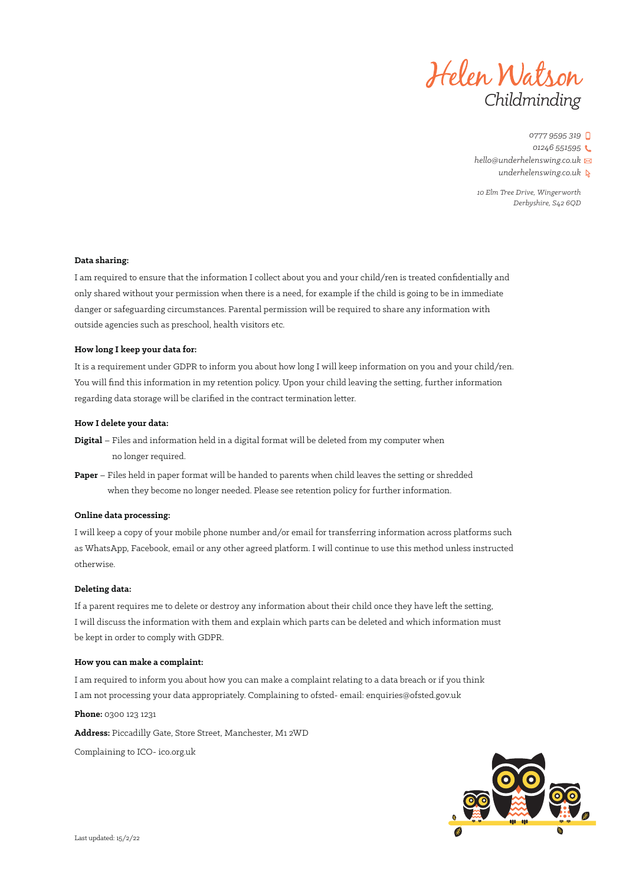

*10 Elm Tree Drive, Wingerworth Derbyshire, S42 6QD*

#### **Data sharing:**

I am required to ensure that the information I collect about you and your child/ren is treated confidentially and only shared without your permission when there is a need, for example if the child is going to be in immediate danger or safeguarding circumstances. Parental permission will be required to share any information with outside agencies such as preschool, health visitors etc.

### **How long I keep your data for:**

It is a requirement under GDPR to inform you about how long I will keep information on you and your child/ren. You will find this information in my retention policy. Upon your child leaving the setting, further information regarding data storage will be clarified in the contract termination letter.

### **How I delete your data:**

- **Digital** Files and information held in a digital format will be deleted from my computer when no longer required.
- **Paper** Files held in paper format will be handed to parents when child leaves the setting or shredded when they become no longer needed. Please see retention policy for further information.

#### **Online data processing:**

I will keep a copy of your mobile phone number and/or email for transferring information across platforms such as WhatsApp, Facebook, email or any other agreed platform. I will continue to use this method unless instructed otherwise.

#### **Deleting data:**

If a parent requires me to delete or destroy any information about their child once they have left the setting, I will discuss the information with them and explain which parts can be deleted and which information must be kept in order to comply with GDPR.

#### **How you can make a complaint:**

I am required to inform you about how you can make a complaint relating to a data breach or if you think I am not processing your data appropriately. Complaining to ofsted- email: enquiries@ofsted.gov.uk

**Phone:** 0300 123 1231

**Address:** Piccadilly Gate, Store Street, Manchester, M1 2WD

Complaining to ICO- ico.org.uk

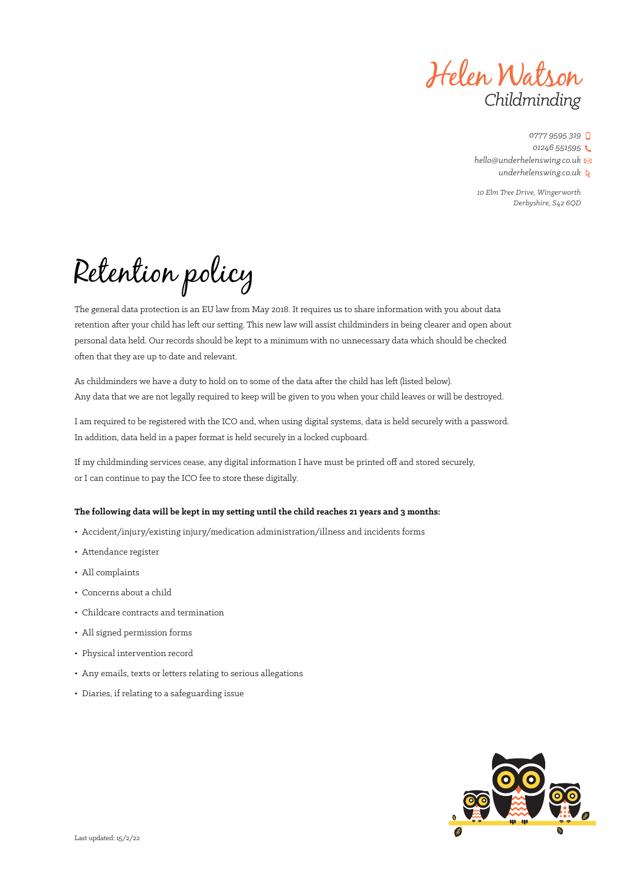Helen Watson *Childminding*

*10 Elm Tree Drive, Wingerworth Derbyshire, S42 6QD*

Retention policy

The general data protection is an EU law from May 2018. It requires us to share information with you about data retention after your child has left our setting. This new law will assist childminders in being clearer and open about personal data held. Our records should be kept to a minimum with no unnecessary data which should be checked often that they are up to date and relevant.

As childminders we have a duty to hold on to some of the data after the child has left (listed below). Any data that we are not legally required to keep will be given to you when your child leaves or will be destroyed.

I am required to be registered with the ICO and, when using digital systems, data is held securely with a password. In addition, data held in a paper format is held securely in a locked cupboard.

If my childminding services cease, any digital information I have must be printed off and stored securely, or I can continue to pay the ICO fee to store these digitally.

### **The following data will be kept in my setting until the child reaches 21 years and 3 months:**

- Accident/injury/existing injury/medication administration/illness and incidents forms
- Attendance register
- All complaints
- Concerns about a child
- Childcare contracts and termination
- All signed permission forms
- Physical intervention record
- Any emails, texts or letters relating to serious allegations
- Diaries, if relating to a safeguarding issue